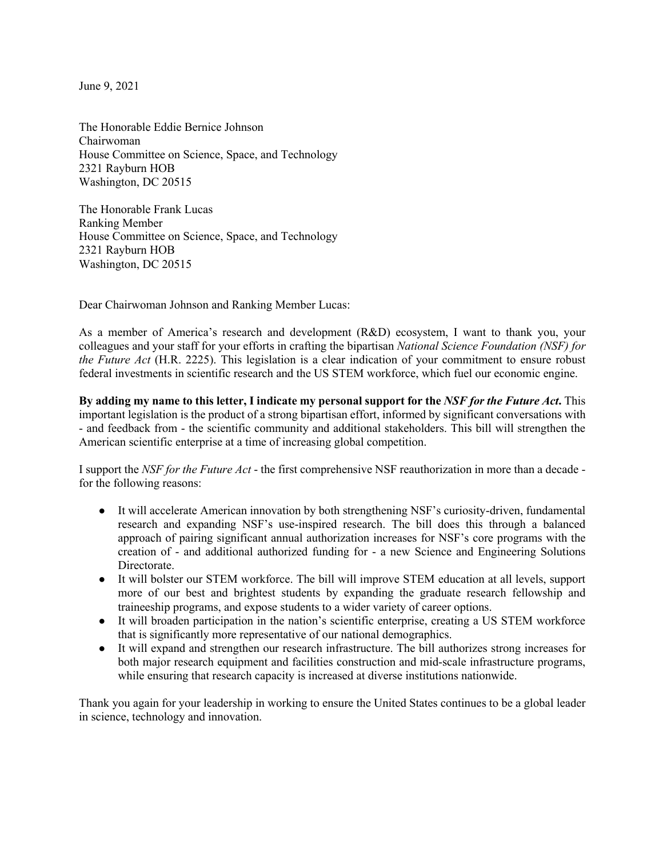June 9, 2021

The Honorable Eddie Bernice Johnson Chairwoman House Committee on Science, Space, and Technology 2321 Rayburn HOB Washington, DC 20515

The Honorable Frank Lucas Ranking Member House Committee on Science, Space, and Technology 2321 Rayburn HOB Washington, DC 20515

Dear Chairwoman Johnson and Ranking Member Lucas:

As a member of America's research and development (R&D) ecosystem, I want to thank you, your colleagues and your staff for your efforts in crafting the bipartisan *National Science Foundation (NSF) for the Future Act* (H.R. 2225). This legislation is a clear indication of your commitment to ensure robust federal investments in scientific research and the US STEM workforce, which fuel our economic engine.

**By adding my name to this letter, I indicate my personal support for the** *NSF for the Future Act***.** This important legislation is the product of a strong bipartisan effort, informed by significant conversations with - and feedback from - the scientific community and additional stakeholders. This bill will strengthen the American scientific enterprise at a time of increasing global competition.

I support the *NSF for the Future Act* - the first comprehensive NSF reauthorization in more than a decade for the following reasons:

- It will accelerate American innovation by both strengthening NSF's curiosity-driven, fundamental research and expanding NSF's use-inspired research. The bill does this through a balanced approach of pairing significant annual authorization increases for NSF's core programs with the creation of - and additional authorized funding for - a new Science and Engineering Solutions Directorate.
- It will bolster our STEM workforce. The bill will improve STEM education at all levels, support more of our best and brightest students by expanding the graduate research fellowship and traineeship programs, and expose students to a wider variety of career options.
- It will broaden participation in the nation's scientific enterprise, creating a US STEM workforce that is significantly more representative of our national demographics.
- It will expand and strengthen our research infrastructure. The bill authorizes strong increases for both major research equipment and facilities construction and mid-scale infrastructure programs, while ensuring that research capacity is increased at diverse institutions nationwide.

Thank you again for your leadership in working to ensure the United States continues to be a global leader in science, technology and innovation.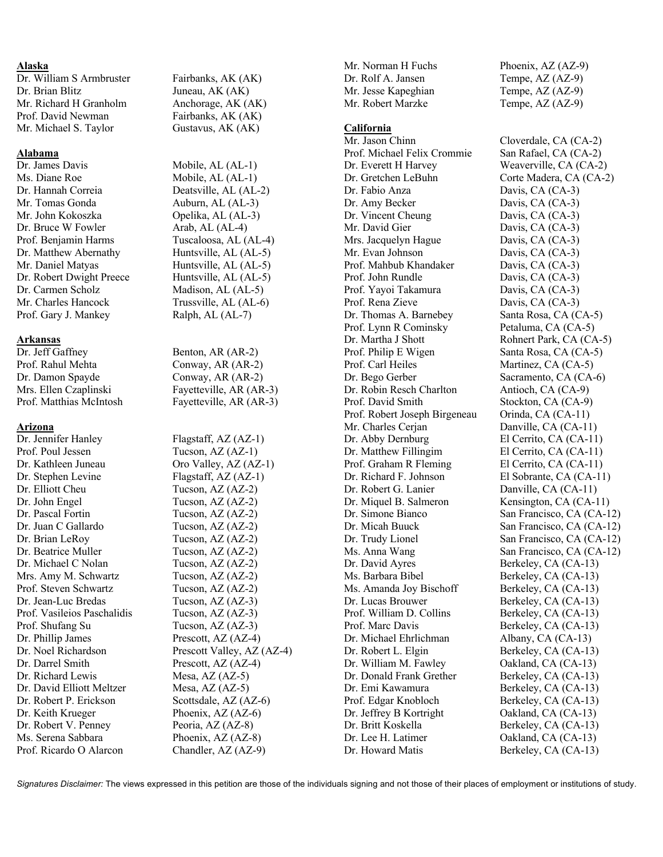# **Alaska**

Dr. Brian Blitz Juneau, AK (AK) Mr. Richard H Granholm Anchorage, AK (AK) Prof. David Newman Fairbanks, AK (AK) Mr. Michael S. Taylor Gustavus, AK (AK)

# **Alabama**

Dr. James Davis Mobile, AL (AL-1) Ms. Diane Roe Mobile, AL (AL-1)<br>Dr. Hannah Correia Deatsville, AL (AL-Mr. Tomas Gonda Auburn, AL (AL-3) Mr. John Kokoszka Opelika, AL (AL-3) Dr. Bruce W Fowler Arab, AL (AL-4) Prof. Benjamin Harms Tuscaloosa, AL (AL-4) Dr. Matthew Abernathy Huntsville, AL (AL-5) Mr. Daniel Matyas Huntsville, AL (AL-5) Dr. Robert Dwight Preece Huntsville, AL (AL-5) Dr. Carmen Scholz Madison, AL (AL-5) Mr. Charles Hancock Trussville, AL (AL-6) Prof. Gary J. Mankey Ralph, AL (AL-7)

# **Arkansas**

Dr. Jeff Gaffney Benton, AR (AR-2) Prof. Rahul Mehta Conway, AR (AR-2) Dr. Damon Spayde Conway, AR (AR-2)

# **Arizona**

Dr. Jennifer Hanley Flagstaff, AZ (AZ-1) Prof. Poul Jessen Tucson, AZ (AZ-1) Dr. Kathleen Juneau Oro Valley, AZ (AZ-1) Dr. Stephen Levine Flagstaff, AZ (AZ-1) Dr. Elliott Cheu Tucson, AZ (AZ-2) Dr. John Engel Tucson, AZ (AZ-2) Dr. Pascal Fortin Tucson, AZ (AZ-2) Dr. Juan C Gallardo Tucson, AZ (AZ-2) Dr. Brian LeRoy Tucson, AZ (AZ-2) Dr. Beatrice Muller Tucson, AZ (AZ-2) Dr. Michael C Nolan Tucson, AZ (AZ-2) Mrs. Amy M. Schwartz Tucson, AZ (AZ-2) Prof. Steven Schwartz Tucson, AZ (AZ-2) Dr. Jean-Luc Bredas Tucson, AZ (AZ-3) Prof. Vasileios Paschalidis Tucson, AZ (AZ-3) Prof. Shufang Su Tucson, AZ (AZ-3) Dr. Phillip James Prescott, AZ (AZ-4) Dr. Darrel Smith Prescott, AZ (AZ-4) Dr. Richard Lewis Mesa, AZ (AZ-5) Dr. David Elliott Meltzer Mesa, AZ (AZ-5) Dr. Robert P. Erickson Scottsdale, AZ (AZ-6) Dr. Keith Krueger Phoenix, AZ (AZ-6) Dr. Robert V. Penney Peoria, AZ (AZ-8) Ms. Serena Sabbara Phoenix, AZ (AZ-8)

Dr. William S Armbruster Fairbanks, AK (AK)

Deatsville, AL (AL-2)

Mrs. Ellen Czaplinski Fayetteville, AR (AR-3) Prof. Matthias McIntosh Fayetteville, AR (AR-3)

Dr. Noel Richardson Prescott Valley, AZ (AZ-4) Prof. Ricardo O Alarcon Chandler, AZ (AZ-9)

Dr. Rolf A. Jansen Tempe, AZ (AZ-9) Mr. Jesse Kapeghian Tempe, AZ (AZ-9) Mr. Robert Marzke Tempe, AZ (AZ-9)

## **California**

Mr. Jason Chinn Cloverdale, CA (CA-2) Prof. Michael Felix Crommie San Rafael, CA (CA-2) Dr. Everett H Harvey Weaverville, CA (CA-2) Dr. Gretchen LeBuhn Corte Madera, CA (CA-2) Dr. Fabio Anza Davis, CA (CA-3) Dr. Amy Becker Davis, CA (CA-3) Dr. Vincent Cheung Davis, CA (CA-3) Mr. David Gier Davis, CA (CA-3) Mrs. Jacquelyn Hague Davis, CA (CA-3) Mr. Evan Johnson Davis, CA (CA-3) Prof. Mahbub Khandaker Davis, CA (CA-3) Prof. John Rundle Davis, CA (CA-3) Prof. Yayoi Takamura Davis, CA (CA-3) Prof. Rena Zieve Davis, CA (CA-3) Dr. Thomas A. Barnebey Santa Rosa, CA (CA-5) Prof. Lynn R Cominsky Petaluma, CA (CA-5) Dr. Martha J Shott Rohnert Park, CA (CA-5) Prof. Philip E Wigen Santa Rosa, CA (CA-5) Prof. Carl Heiles Martinez, CA (CA-5) Dr. Bego Gerber Sacramento, CA (CA-6) Dr. Robin Resch Charlton Antioch, CA (CA-9) Prof. David Smith Stockton, CA (CA-9) Prof. Robert Joseph Birgeneau Orinda, CA (CA-11) Mr. Charles Cerjan Danville, CA (CA-11) Dr. Abby Dernburg El Cerrito, CA (CA-11) Dr. Matthew Fillingim El Cerrito, CA (CA-11) Prof. Graham R Fleming El Cerrito, CA (CA-11) Dr. Richard F. Johnson El Sobrante, CA (CA-11) Dr. Robert G. Lanier Danville, CA (CA-11) Dr. Miquel B. Salmeron Kensington, CA (CA-11) Dr. Simone Bianco San Francisco, CA (CA-12) Dr. Micah Buuck San Francisco, CA (CA-12) Dr. Trudy Lionel San Francisco, CA (CA-12) Ms. Anna Wang San Francisco, CA (CA-12) Dr. David Ayres Berkeley, CA (CA-13) Ms. Barbara Bibel Berkeley, CA (CA-13) Ms. Amanda Joy Bischoff Berkeley, CA (CA-13) Dr. Lucas Brouwer Berkeley, CA (CA-13) Prof. William D. Collins Berkeley, CA (CA-13) Prof. Marc Davis Berkeley, CA (CA-13) Dr. Michael Ehrlichman Albany, CA (CA-13) Dr. Robert L. Elgin Berkeley, CA (CA-13) Dr. William M. Fawley Oakland, CA (CA-13) Dr. Donald Frank Grether Berkeley, CA (CA-13) Dr. Emi Kawamura Berkeley, CA (CA-13) Prof. Edgar Knobloch Berkeley, CA (CA-13) Dr. Jeffrey B Kortright Oakland, CA (CA-13) Dr. Britt Koskella Berkeley, CA (CA-13) Dr. Lee H. Latimer Oakland, CA (CA-13)

Mr. Norman H Fuchs Phoenix, AZ (AZ-9)

Dr. Howard Matis Berkeley, CA (CA-13)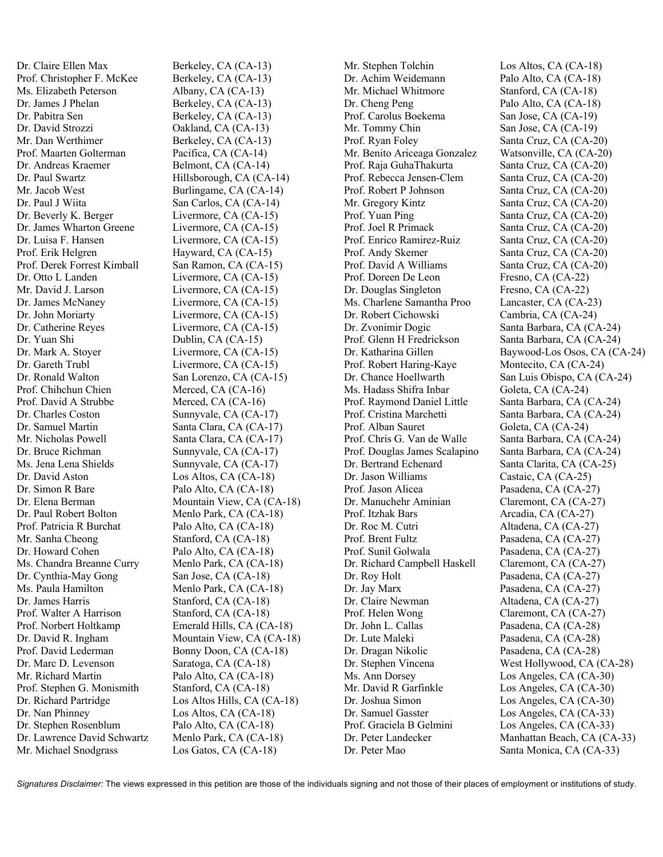Dr. Claire Ellen Max Berkeley, CA (CA-13) Prof. Christopher F. McKee Berkeley, CA (CA-13) Ms. Elizabeth Peterson Albany, CA (CA-13) Dr. James J Phelan Berkeley, CA (CA-13) Dr. Pabitra Sen Berkeley, CA (CA-13) Dr. David Strozzi Oakland, CA (CA-13) Mr. Dan Werthimer Berkeley, CA (CA-13) Prof. Maarten Golterman Pacifica, CA (CA-14) Dr. Andreas Kraemer Belmont, CA (CA-14) Dr. Paul Swartz Hillsborough, CA (CA-14) Mr. Jacob West Burlingame, CA (CA-14) Dr. Paul J Wiita San Carlos, CA (CA-14) Dr. Beverly K. Berger Livermore, CA (CA-15) Dr. James Wharton Greene Livermore, CA (CA-15) Dr. Luisa F. Hansen Livermore, CA (CA-15) Prof. Erik Helgren Hayward, CA (CA-15) Prof. Derek Forrest Kimball San Ramon, CA (CA-15) Dr. Otto L Landen Livermore, CA (CA-15) Mr. David J. Larson Livermore, CA (CA-15) Dr. James McNaney Livermore, CA (CA-15) Dr. John Moriarty Livermore, CA (CA-15) Dr. Catherine Reyes Livermore, CA (CA-15) Dr. Yuan Shi Dublin, CA (CA-15) Dr. Mark A. Stoyer Livermore, CA (CA-15) Dr. Gareth Trubl Livermore, CA (CA-15) Dr. Ronald Walton San Lorenzo, CA (CA-15) Prof. Chihchun Chien Merced, CA (CA-16) Prof. David A Strubbe Merced, CA (CA-16) Dr. Charles Coston Sunnyvale, CA (CA-17) Dr. Samuel Martin Santa Clara, CA (CA-17) Mr. Nicholas Powell Santa Clara, CA (CA-17) Dr. Bruce Richman Sunnyvale, CA (CA-17) Ms. Jena Lena Shields Sunnyvale, CA (CA-17) Dr. David Aston Los Altos, CA (CA-18) Dr. Simon R Bare Palo Alto, CA (CA-18) Dr. Elena Berman Mountain View, CA (CA-18) Dr. Paul Robert Bolton Menlo Park, CA (CA-18) Prof. Patricia R Burchat Palo Alto, CA (CA-18) Mr. Sanha Cheong Stanford, CA (CA-18) Dr. Howard Cohen Palo Alto, CA (CA-18) Ms. Chandra Breanne Curry Menlo Park, CA (CA-18) Dr. Cynthia-May Gong San Jose, CA (CA-18) Ms. Paula Hamilton Menlo Park, CA (CA-18) Dr. James Harris Stanford, CA (CA-18) Prof. Walter A Harrison Stanford, CA (CA-18) Prof. Norbert Holtkamp Emerald Hills, CA (CA-18) Dr. David R. Ingham Mountain View, CA (CA-18) Prof. David Lederman Bonny Doon, CA (CA-18) Dr. Marc D. Levenson Saratoga, CA (CA-18) Mr. Richard Martin Palo Alto, CA (CA-18) Prof. Stephen G. Monismith Stanford, CA (CA-18) Dr. Richard Partridge Los Altos Hills, CA (CA-18) Dr. Nan Phinney Los Altos, CA (CA-18) Dr. Stephen Rosenblum Palo Alto, CA (CA-18) Dr. Lawrence David Schwartz Menlo Park, CA (CA-18) Mr. Michael Snodgrass Los Gatos, CA (CA-18)

Mr. Stephen Tolchin Los Altos, CA (CA-18) Dr. Achim Weidemann Palo Alto, CA (CA-18) Mr. Michael Whitmore Stanford, CA (CA-18) Dr. Cheng Peng Palo Alto, CA (CA-18) Prof. Carolus Boekema San Jose, CA (CA-19) Mr. Tommy Chin San Jose, CA (CA-19) Prof. Ryan Foley Santa Cruz, CA (CA-20) Mr. Benito Ariceaga Gonzalez Watsonville, CA (CA-20) Prof. Raja GuhaThakurta Santa Cruz, CA (CA-20) Prof. Rebecca Jensen-Clem Santa Cruz, CA (CA-20) Prof. Robert P Johnson Santa Cruz, CA (CA-20) Mr. Gregory Kintz Santa Cruz, CA (CA-20) Prof. Yuan Ping Santa Cruz, CA (CA-20) Prof. Joel R Primack Santa Cruz, CA (CA-20) Prof. Enrico Ramirez-Ruiz Santa Cruz, CA (CA-20) Prof. Andy Skemer Santa Cruz, CA (CA-20) Prof. David A Williams Santa Cruz, CA (CA-20) Prof. Doreen De Leon Fresno, CA (CA-22) Dr. Douglas Singleton Fresno, CA (CA-22) Ms. Charlene Samantha Proo Lancaster, CA (CA-23) Dr. Robert Cichowski Cambria, CA (CA-24) Dr. Zvonimir Dogic Santa Barbara, CA (CA-24) Prof. Glenn H Fredrickson Santa Barbara, CA (CA-24) Prof. Robert Haring-Kaye Montecito, CA (CA-24) Ms. Hadass Shifra Inbar Goleta, CA (CA-24) Prof. Raymond Daniel Little Santa Barbara, CA (CA-24) Prof. Cristina Marchetti Santa Barbara, CA (CA-24) Prof. Alban Sauret Goleta, CA (CA-24) Prof. Chris G. Van de Walle Santa Barbara, CA (CA-24) Prof. Douglas James Scalapino Santa Barbara, CA (CA-24) Dr. Bertrand Echenard Santa Clarita, CA (CA-25) Dr. Jason Williams Castaic, CA (CA-25) Prof. Jason Alicea Pasadena, CA (CA-27) Dr. Manuchehr Aminian Claremont, CA (CA-27) Prof. Itzhak Bars Arcadia, CA (CA-27) Dr. Roc M. Cutri Altadena, CA (CA-27) Prof. Brent Fultz Pasadena, CA (CA-27) Prof. Sunil Golwala Pasadena, CA (CA-27) Dr. Richard Campbell Haskell Claremont, CA (CA-27) Dr. Roy Holt Pasadena, CA (CA-27) Dr. Jay Marx Pasadena, CA (CA-27) Dr. Claire Newman Altadena, CA (CA-27) Prof. Helen Wong Claremont, CA (CA-27) Dr. John L. Callas Pasadena, CA (CA-28)<br>Dr. Lute Maleki Pasadena. CA (CA-28) Dr. Dragan Nikolic Pasadena, CA (CA-28) Ms. Ann Dorsey Los Angeles, CA (CA-30) Mr. David R Garfinkle Los Angeles, CA (CA-30) Dr. Joshua Simon Los Angeles, CA (CA-30) Dr. Samuel Gasster Los Angeles, CA (CA-33) Prof. Graciela B Gelmini Los Angeles, CA (CA-33) Dr. Peter Mao Santa Monica, CA (CA-33)

Dr. Katharina Gillen Baywood-Los Osos, CA (CA-24) Dr. Chance Hoellwarth San Luis Obispo, CA (CA-24) Pasadena, CA (CA-28) Dr. Stephen Vincena West Hollywood, CA (CA-28) Dr. Peter Landecker Manhattan Beach, CA (CA-33)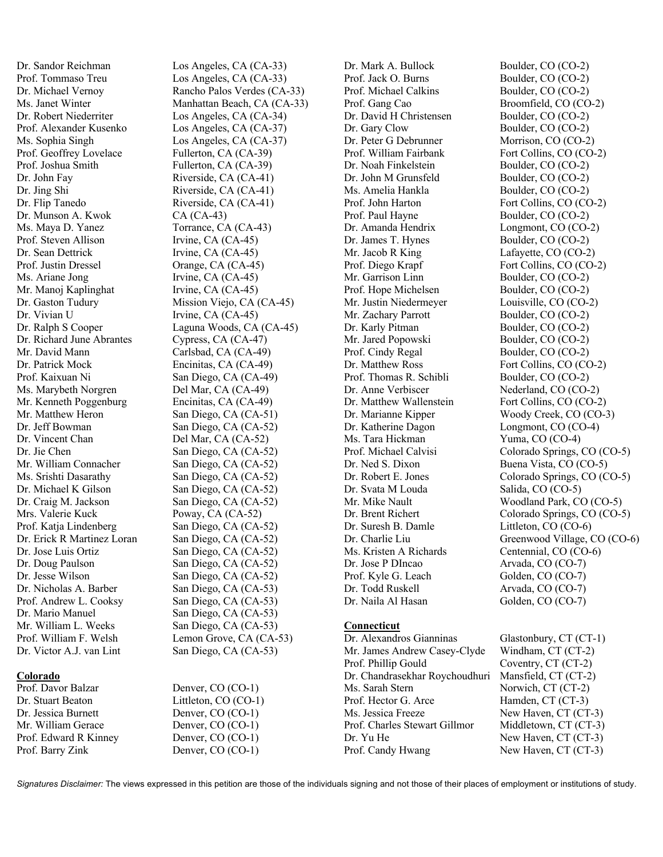Dr. Sandor Reichman Los Angeles, CA (CA-33) Prof. Tommaso Treu Los Angeles, CA (CA-33) Dr. Robert Niederriter Los Angeles, CA (CA-34) Prof. Alexander Kusenko Los Angeles, CA (CA-37) Ms. Sophia Singh Los Angeles, CA (CA-37) Prof. Geoffrey Lovelace Fullerton, CA (CA-39) Prof. Joshua Smith Fullerton, CA (CA-39) Dr. John Fay Riverside, CA (CA-41) Dr. Jing Shi Riverside, CA (CA-41) Dr. Flip Tanedo Riverside, CA (CA-41) Dr. Munson A. Kwok CA (CA-43) Ms. Maya D. Yanez Torrance, CA (CA-43) Prof. Steven Allison Irvine, CA (CA-45) Dr. Sean Dettrick Irvine, CA (CA-45) Prof. Justin Dressel Orange, CA (CA-45) Ms. Ariane Jong Irvine, CA (CA-45) Mr. Manoj Kaplinghat Irvine, CA (CA-45) Dr. Vivian U Irvine, CA (CA-45) Dr. Richard June Abrantes Cypress, CA (CA-47) Mr. David Mann Carlsbad, CA (CA-49) Dr. Patrick Mock Encinitas, CA (CA-49) Prof. Kaixuan Ni San Diego, CA (CA-49) Ms. Marybeth Norgren Del Mar, CA (CA-49) Mr. Kenneth Poggenburg Encinitas, CA (CA-49) Mr. Matthew Heron San Diego, CA (CA-51) Dr. Jeff Bowman San Diego, CA (CA-52) Dr. Vincent Chan Del Mar, CA (CA-52) Dr. Jie Chen San Diego, CA (CA-52) Mr. William Connacher San Diego, CA (CA-52) Ms. Srishti Dasarathy San Diego, CA (CA-52) Dr. Michael K Gilson San Diego, CA (CA-52) Dr. Craig M. Jackson San Diego, CA (CA-52) Mrs. Valerie Kuck Poway, CA (CA-52) Prof. Katja Lindenberg San Diego, CA (CA-52) Dr. Erick R Martinez Loran San Diego, CA (CA-52) Dr. Jose Luis Ortiz San Diego, CA (CA-52) Dr. Doug Paulson San Diego, CA (CA-52) Dr. Jesse Wilson San Diego, CA (CA-52) Dr. Nicholas A. Barber San Diego, CA (CA-53) Prof. Andrew L. Cooksy San Diego, CA (CA-53) Dr. Mario Manuel San Diego, CA (CA-53) Mr. William L. Weeks San Diego, CA (CA-53)

# **Colorado**

Prof. Davor Balzar Dr. Stuart Beaton Dr. Jessica Burnett Mr. William Gerace Prof. Edward R Kinney Prof. Barry Zink

Dr. Michael Vernoy Rancho Palos Verdes (CA-33) Ms. Janet Winter Manhattan Beach, CA (CA-33) Dr. Gaston Tudury Mission Viejo, CA (CA-45) Dr. Ralph S Cooper Laguna Woods, CA (CA-45) Prof. William F. Welsh Lemon Grove, CA (CA-53) Dr. Victor A.J. van Lint San Diego, CA (CA-53)

| Denver, CO (CO-1)    |
|----------------------|
| Littleton, CO (CO-1) |
| Denver, CO (CO-1)    |
| Denver, CO (CO-1)    |
| Denver, CO (CO-1)    |
| Denver, CO (CO-1)    |

Dr. Mark A. Bullock Boulder, CO (CO-2) Prof. Jack O. Burns Boulder, CO (CO-2) Prof. Michael Calkins Boulder, CO (CO-2) Prof. Gang Cao Broomfield, CO (CO-2) Dr. David H Christensen Boulder, CO (CO-2) Dr. Gary Clow Boulder, CO (CO-2) Dr. Peter G Debrunner Morrison, CO (CO-2) Prof. William Fairbank Fort Collins, CO (CO-2) Dr. Noah Finkelstein Boulder, CO (CO-2) Dr. John M Grunsfeld Boulder, CO (CO-2) Ms. Amelia Hankla Boulder, CO (CO-2) Prof. John Harton Fort Collins, CO (CO-2) Prof. Paul Hayne Boulder, CO (CO-2) Dr. Amanda Hendrix Longmont, CO (CO-2) Dr. James T. Hynes Boulder, CO (CO-2) Mr. Jacob R King Lafayette, CO (CO-2) Prof. Diego Krapf Fort Collins, CO (CO-2) Mr. Garrison Linn Boulder, CO (CO-2) Prof. Hope Michelsen Boulder, CO (CO-2) Mr. Justin Niedermeyer Louisville, CO (CO-2) Mr. Zachary Parrott Boulder, CO (CO-2) Dr. Karly Pitman Boulder, CO (CO-2) Mr. Jared Popowski Boulder, CO (CO-2) Prof. Cindy Regal Boulder, CO (CO-2) Dr. Matthew Ross Fort Collins, CO (CO-2) Prof. Thomas R. Schibli Boulder, CO (CO-2) Dr. Anne Verbiscer Nederland, CO (CO-2) Dr. Matthew Wallenstein Fort Collins, CO (CO-2) Dr. Katherine Dagon Longmont, CO (CO-4) Ms. Tara Hickman Yuma, CO (CO-4) Dr. Ned S. Dixon Buena Vista, CO (CO-5) Dr. Svata M Louda Salida, CO (CO-5) Dr. Suresh B. Damle Littleton, CO (CO-6) Ms. Kristen A Richards Centennial, CO (CO-6) Dr. Jose P DIncao Arvada, CO (CO-7) Prof. Kyle G. Leach Golden, CO (CO-7) Dr. Todd Ruskell Arvada, CO (CO-7)

# **Connecticut**

Dr. Alexandros Gianninas Glastonbury, CT (CT-1) Mr. James Andrew Casey-Clyde Windham, CT (CT-2) Prof. Phillip Gould Coventry, CT (CT-2) Dr. Chandrasekhar Roychoudhuri Mansfield, CT (CT-2) Ms. Sarah Stern Norwich, CT (CT-2) Prof. Hector G. Arce Hamden, CT (CT-3) Ms. Jessica Freeze New Haven, CT (CT-3) Prof. Charles Stewart Gillmor Middletown, CT (CT-3) Dr. Yu He New Haven, CT (CT-3) Prof. Candy Hwang New Haven, CT (CT-3)

Dr. Marianne Kipper Woody Creek, CO (CO-3) Prof. Michael Calvisi Colorado Springs, CO (CO-5) Dr. Robert E. Jones Colorado Springs, CO (CO-5) Mr. Mike Nault Woodland Park, CO (CO-5) Dr. Brent Richert Colorado Springs, CO (CO-5) Dr. Charlie Liu Greenwood Village, CO (CO-6) Dr. Naila Al Hasan Golden, CO (CO-7)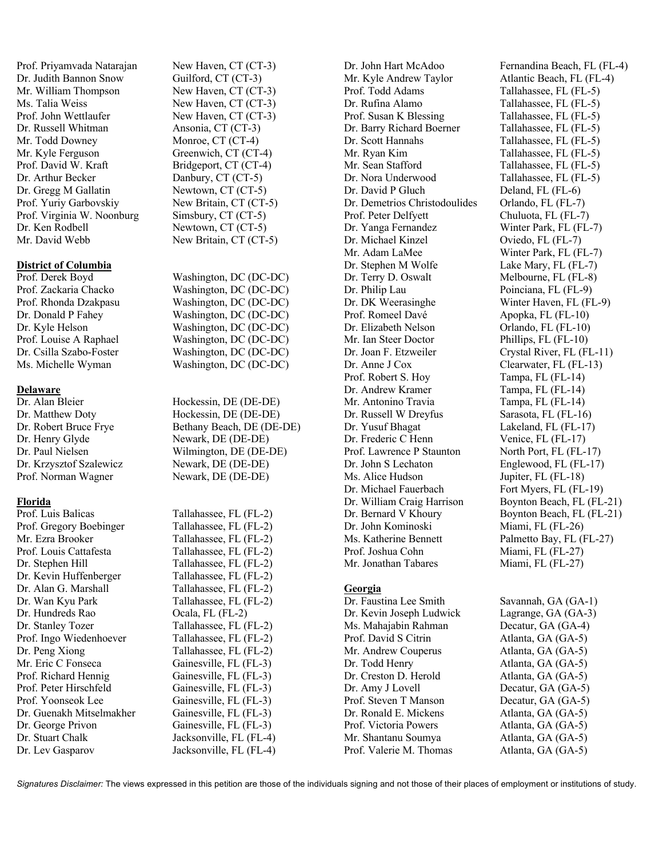Prof. Priyamvada Natarajan New Haven, CT (CT-3) Dr. Judith Bannon Snow Guilford, CT (CT-3) Mr. William Thompson New Haven, CT (CT-3) Ms. Talia Weiss New Haven, CT (CT-3) Prof. John Wettlaufer New Haven, CT (CT-3) Dr. Russell Whitman Ansonia, CT (CT-3) Mr. Todd Downey Monroe, CT (CT-4) Mr. Kyle Ferguson Greenwich, CT (CT-4) Prof. David W. Kraft Bridgeport, CT (CT-4) Dr. Arthur Becker Danbury, CT (CT-5) Dr. Gregg M Gallatin Newtown, CT (CT-5) Prof. Yuriy Garbovskiy New Britain, CT (CT-5) Prof. Virginia W. Noonburg Simsbury, CT (CT-5) Dr. Ken Rodbell Newtown, CT (CT-5) Mr. David Webb New Britain, CT (CT-5)

## **District of Columbia**

## **Delaware**

Dr. Henry Glyde Newark, DE (DE-DE) Dr. Krzysztof Szalewicz Newark, DE (DE-DE) Prof. Norman Wagner Newark, DE (DE-DE)

# **Florida**

Prof. Gregory Boebinger Tallahassee, FL (FL-2) Mr. Ezra Brooker Tallahassee, FL (FL-2) Prof. Louis Cattafesta Tallahassee, FL (FL-2) Dr. Stephen Hill Tallahassee, FL (FL-2) Dr. Kevin Huffenberger Tallahassee, FL (FL-2) Dr. Alan G. Marshall Tallahassee, FL (FL-2) Dr. Wan Kyu Park Tallahassee, FL (FL-2) Dr. Hundreds Rao Ocala, FL (FL-2) Dr. Stanley Tozer Tallahassee, FL (FL-2) Prof. Ingo Wiedenhoever Tallahassee, FL (FL-2) Dr. Peng Xiong Tallahassee, FL (FL-2) Mr. Eric C Fonseca Gainesville, FL (FL-3) Prof. Richard Hennig Gainesville, FL (FL-3) Prof. Peter Hirschfeld Gainesville, FL (FL-3) Prof. Yoonseok Lee Gainesville, FL (FL-3) Dr. Guenakh Mitselmakher Gainesville, FL (FL-3) Dr. George Privon Gainesville, FL (FL-3) Dr. Stuart Chalk Jacksonville, FL (FL-4) Dr. Lev Gasparov Jacksonville, FL (FL-4)

Prof. Derek Boyd Washington, DC (DC-DC) Prof. Zackaria Chacko Washington, DC (DC-DC) Prof. Rhonda Dzakpasu Washington, DC (DC-DC) Dr. Donald P Fahey Washington, DC (DC-DC) Dr. Kyle Helson Washington, DC (DC-DC) Prof. Louise A Raphael Washington, DC (DC-DC)<br>Dr. Csilla Szabo-Foster Washington, DC (DC-DC) Washington, DC (DC-DC) Ms. Michelle Wyman Washington, DC (DC-DC)

Dr. Alan Bleier Hockessin, DE (DE-DE) Dr. Matthew Doty Hockessin, DE (DE-DE) Dr. Robert Bruce Frye Bethany Beach, DE (DE-DE) Dr. Paul Nielsen Wilmington, DE (DE-DE)

Prof. Luis Balicas Tallahassee, FL (FL-2)

Mr. Kyle Andrew Taylor Atlantic Beach, FL (FL-4) Prof. Todd Adams Tallahassee, FL (FL-5) Dr. Rufina Alamo Tallahassee, FL (FL-5) Prof. Susan K Blessing Tallahassee, FL (FL-5) Dr. Barry Richard Boerner Tallahassee, FL (FL-5) Dr. Scott Hannahs Tallahassee, FL (FL-5) Mr. Ryan Kim Tallahassee, FL (FL-5) Mr. Sean Stafford Tallahassee, FL (FL-5) Dr. Nora Underwood Tallahassee, FL (FL-5) Dr. David P Gluch Deland, FL (FL-6) Dr. Demetrios Christodoulides Orlando, FL (FL-7) Prof. Peter Delfyett Chuluota, FL (FL-7) Dr. Yanga Fernandez Winter Park, FL (FL-7) Dr. Michael Kinzel Oviedo, FL (FL-7) Mr. Adam LaMee Winter Park, FL (FL-7) Dr. Stephen M Wolfe Lake Mary, FL (FL-7) Dr. Terry D. Oswalt Melbourne, FL (FL-8) Dr. Philip Lau Poinciana, FL (FL-9) Dr. DK Weerasinghe Winter Haven, FL (FL-9) Prof. Romeel Davé Apopka, FL (FL-10) Dr. Elizabeth Nelson Orlando, FL (FL-10) Mr. Ian Steer Doctor Phillips, FL (FL-10) Dr. Joan F. Etzweiler Crystal River, FL (FL-11) Dr. Anne J Cox Clearwater, FL (FL-13) Prof. Robert S. Hov Tampa, FL (FL-14) Dr. Andrew Kramer Tampa, FL (FL-14) Mr. Antonino Travia Tampa, FL (FL-14) Dr. Russell W Dreyfus Sarasota, FL (FL-16) Dr. Yusuf Bhagat Lakeland, FL (FL-17) Dr. Frederic C Henn Venice, FL (FL-17) Prof. Lawrence P Staunton North Port, FL (FL-17) Dr. John S Lechaton Englewood, FL (FL-17) Ms. Alice Hudson Jupiter, FL (FL-18) Dr. Michael Fauerbach Fort Myers, FL (FL-19) Dr. John Kominoski Miami, FL (FL-26) Ms. Katherine Bennett Palmetto Bay, FL (FL-27) Prof. Joshua Cohn Miami, FL (FL-27) Mr. Jonathan Tabares Miami, FL (FL-27)

# **Georgia**

Dr. Faustina Lee Smith Savannah, GA (GA-1) Dr. Kevin Joseph Ludwick Lagrange, GA (GA-3) Ms. Mahajabin Rahman Decatur, GA (GA-4) Prof. David S Citrin Atlanta, GA (GA-5) Mr. Andrew Couperus Atlanta, GA (GA-5) Dr. Todd Henry Atlanta, GA (GA-5) Dr. Creston D. Herold Atlanta, GA (GA-5) Dr. Amy J Lovell Decatur, GA (GA-5) Prof. Steven T Manson Decatur, GA (GA-5) Dr. Ronald E. Mickens Atlanta, GA (GA-5) Prof. Victoria Powers Atlanta, GA (GA-5) Mr. Shantanu Soumya Atlanta, GA (GA-5) Prof. Valerie M. Thomas Atlanta, GA (GA-5)

Dr. John Hart McAdoo Fernandina Beach, FL (FL-4) Dr. William Craig Harrison Boynton Beach, FL (FL-21) Dr. Bernard V Khoury Boynton Beach, FL (FL-21)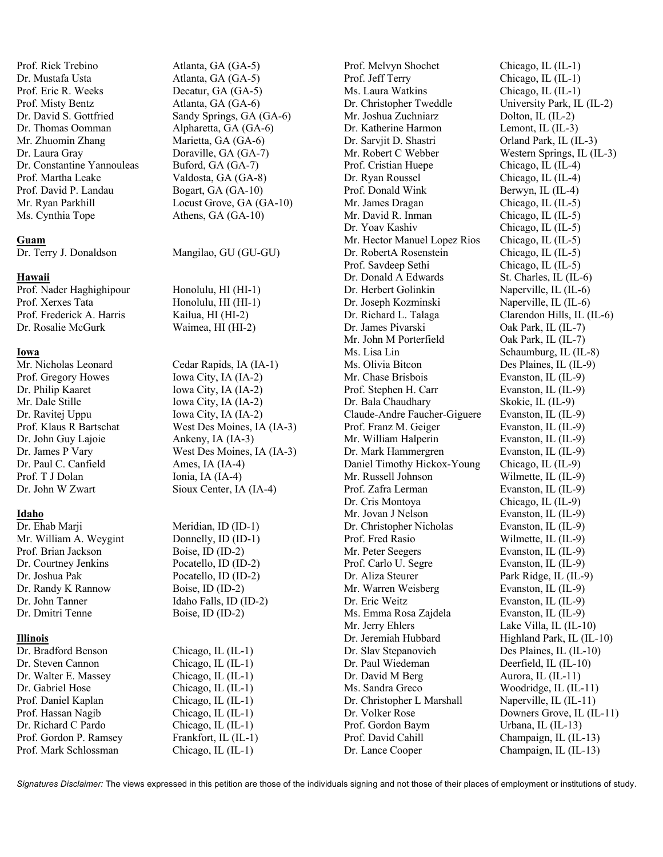Prof. Rick Trebino Atlanta, GA (GA-5) Dr. Mustafa Usta Atlanta, GA (GA-5) Prof. Eric R. Weeks Decatur, GA (GA-5) Prof. Misty Bentz Atlanta, GA (GA-6) Dr. Thomas Oomman Alpharetta, GA (GA-6) Mr. Zhuomin Zhang Marietta, GA (GA-6) Dr. Laura Gray Doraville, GA (GA-7) Dr. Constantine Yannouleas Buford, GA (GA-7) Prof. Martha Leake Valdosta, GA (GA-8) Prof. David P. Landau Bogart, GA (GA-10) Ms. Cynthia Tope Athens, GA (GA-10)

## **Guam**

#### **Hawaii**

Prof. Nader Haghighipour Honolulu, HI (HI-1) Prof. Xerxes Tata Honolulu, HI (HI-1) Prof. Frederick A. Harris Kailua, HI (HI-2) Dr. Rosalie McGurk Waimea, HI (HI-2)

# **Iowa**

Prof. Gregory Howes Iowa City, IA (IA-2) Dr. Philip Kaaret Iowa City, IA (IA-2) Mr. Dale Stille Iowa City, IA (IA-2) Dr. Ravitej Uppu Iowa City, IA (IA-2) Dr. John Guy Lajoie Ankeny, IA (IA-3) Dr. Paul C. Canfield Ames, IA (IA-4) Prof. T J Dolan Ionia, IA (IA-4)

## **Idaho**

Dr. Ehab Marii Meridian, ID (ID-1) Mr. William A. Weygint Donnelly, ID (ID-1) Prof. Brian Jackson Boise, ID (ID-2) Dr. Courtney Jenkins Pocatello, ID (ID-2) Dr. Joshua Pak Pocatello, ID (ID-2) Dr. Randy K Rannow Boise, ID (ID-2) Dr. John Tanner Idaho Falls, ID (ID-2) Dr. Dmitri Tenne Boise, ID (ID-2)

#### **Illinois**

Dr. Bradford Benson Chicago, IL (IL-1) Dr. Steven Cannon Chicago, IL (IL-1) Dr. Walter E. Massey Chicago, IL (IL-1) Dr. Gabriel Hose Chicago, IL (IL-1) Prof. Daniel Kaplan Chicago, IL (IL-1) Prof. Hassan Nagib Chicago, IL (IL-1) Dr. Richard C Pardo Chicago, IL (IL-1) Prof. Gordon P. Ramsey Frankfort, IL (IL-1) Prof. Mark Schlossman Chicago, IL (IL-1)

Dr. David S. Gottfried Sandy Springs, GA (GA-6) Mr. Ryan Parkhill Locust Grove, GA (GA-10)

Dr. Terry J. Donaldson Mangilao, GU (GU-GU)

Mr. Nicholas Leonard Cedar Rapids, IA (IA-1) Prof. Klaus R Bartschat West Des Moines, IA (IA-3) Dr. James P Vary West Des Moines, IA (IA-3) Dr. John W Zwart Sioux Center, IA (IA-4)

Prof. Jeff Terry Chicago, IL (IL-1) Ms. Laura Watkins Chicago, IL (IL-1) Mr. Joshua Zuchniarz Dolton, IL (IL-2) Dr. Katherine Harmon Lemont, IL (IL-3) Dr. Sarvjit D. Shastri Orland Park, IL (IL-3) Prof. Cristian Huepe Chicago, IL (IL-4) Dr. Ryan Roussel Chicago, IL (IL-4) Prof. Donald Wink Berwyn, IL (IL-4) Mr. James Dragan Chicago, IL (IL-5) Mr. David R. Inman Chicago, IL (IL-5) Dr. Yoav Kashiv Chicago, IL (IL-5) Mr. Hector Manuel Lopez Rios Chicago, IL (IL-5) Dr. RobertA Rosenstein Chicago, IL (IL-5) Prof. Savdeep Sethi Chicago, IL (IL-5) Dr. Donald A Edwards St. Charles, IL (IL-6) Dr. Herbert Golinkin Naperville, IL (IL-6) Dr. Joseph Kozminski Naperville, IL (IL-6) Dr. Richard L. Talaga Clarendon Hills, IL (IL-6) Dr. James Pivarski Oak Park, IL (IL-7) Mr. John M Porterfield Oak Park, IL (IL-7) Ms. Lisa Lin Schaumburg, IL (IL-8) Ms. Olivia Bitcon Des Plaines, IL (IL-9) Mr. Chase Brisbois Evanston, IL (IL-9) Prof. Stephen H. Carr Evanston, IL (IL-9) Dr. Bala Chaudhary Skokie, IL (IL-9) Claude-Andre Faucher-Giguere Evanston, IL (IL-9) Prof. Franz M. Geiger Evanston, IL (IL-9) Mr. William Halperin Evanston, IL (IL-9) Dr. Mark Hammergren Evanston, IL (IL-9) Daniel Timothy Hickox-Young Chicago, IL (IL-9) Mr. Russell Johnson Wilmette, IL (IL-9) Prof. Zafra Lerman Evanston, IL (IL-9) Dr. Cris Montoya Chicago, IL (IL-9) Mr. Jovan J Nelson Evanston, IL (IL-9) Dr. Christopher Nicholas Evanston, IL (IL-9) Prof. Fred Rasio Wilmette, IL (IL-9) Mr. Peter Seegers Evanston, IL (IL-9) Prof. Carlo U. Segre Evanston, IL (IL-9) Dr. Aliza Steurer Park Ridge, IL (IL-9) Mr. Warren Weisberg Evanston, IL (IL-9) Dr. Eric Weitz Evanston, IL (IL-9) Ms. Emma Rosa Zajdela Evanston, IL (IL-9) Mr. Jerry Ehlers Lake Villa, IL (IL-10) Dr. Jeremiah Hubbard Highland Park, IL (IL-10) Dr. Slav Stepanovich Des Plaines, IL (IL-10) Dr. Paul Wiedeman Deerfield, IL (IL-10) Dr. David M Berg Aurora, IL (IL-11) Ms. Sandra Greco Woodridge, IL (IL-11) Dr. Christopher L Marshall Naperville, IL (IL-11) Prof. Gordon Baym Urbana, IL (IL-13) Prof. David Cahill Champaign, IL (IL-13) Dr. Lance Cooper Champaign, IL (IL-13)

Prof. Melvyn Shochet Chicago, IL (IL-1) Dr. Christopher Tweddle University Park, IL (IL-2) Mr. Robert C Webber Western Springs, IL (IL-3) Dr. Volker Rose Downers Grove, IL (IL-11)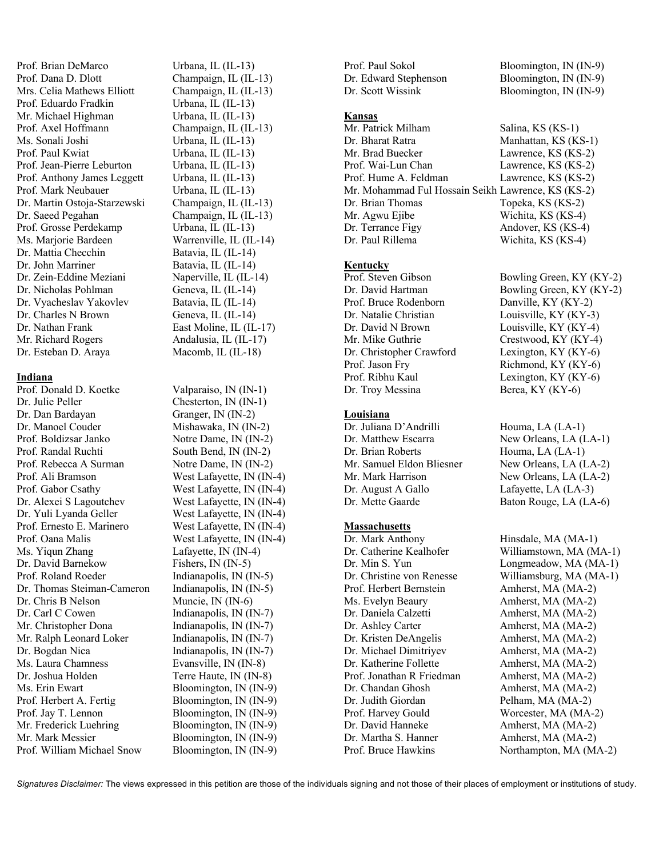Prof. Brian DeMarco Urbana, IL (IL-13) Prof. Dana D. Dlott Champaign, IL (IL-13) Mrs. Celia Mathews Elliott Champaign, IL (IL-13) Prof. Eduardo Fradkin Urbana, IL (IL-13) Mr. Michael Highman Urbana, IL (IL-13) Prof. Axel Hoffmann Champaign, IL (IL-13) Ms. Sonali Joshi Urbana, IL (IL-13) Prof. Jean-Pierre Leburton Urbana, IL (IL-13) Prof. Anthony James Leggett Urbana, IL (IL-13) Prof. Mark Neubauer Urbana, IL (IL-13) Dr. Martin Ostoja-Starzewski Champaign, IL (IL-13) Dr. Saeed Pegahan Champaign, IL (IL-13) Prof. Grosse Perdekamp Urbana, IL (IL-13) Ms. Marjorie Bardeen Warrenville, IL (IL-14) Dr. Mattia Checchin Batavia, IL (IL-14) Dr. John Marriner Batavia, IL (IL-14) Dr. Zein-Eddine Meziani Naperville, IL (IL-14) Dr. Nicholas Pohlman Geneva, IL (IL-14) Dr. Vyacheslav Yakovlev Batavia, IL (IL-14) Dr. Charles N Brown Geneva, IL (IL-14) Dr. Nathan Frank East Moline, IL (IL-17) Mr. Richard Rogers Andalusia, IL (IL-17) Dr. Esteban D. Araya Macomb, IL (IL-18)

#### **Indiana**

Prof. Donald D. Koetke Valparaiso, IN (IN-1) Dr. Julie Peller Chesterton, IN (IN-1) Dr. Dan Bardayan Granger, IN (IN-2) Dr. Manoel Couder Mishawaka, IN (IN-2) Prof. Boldizsar Janko Notre Dame, IN (IN-2) Prof. Randal Ruchti South Bend, IN (IN-2) Prof. Rebecca A Surman Notre Dame, IN (IN-2) Prof. Ali Bramson West Lafayette, IN (IN-4) Prof. Gabor Csathy West Lafayette, IN (IN-4) Dr. Alexei S Lagoutchev West Lafayette, IN (IN-4) Dr. Yuli Lyanda Geller West Lafayette, IN (IN-4) Prof. Ernesto E. Marinero West Lafayette, IN (IN-4) Prof. Oana Malis West Lafayette, IN (IN-4) Ms. Yiqun Zhang Lafayette, IN (IN-4) Dr. David Barnekow Fishers, IN (IN-5) Prof. Roland Roeder Indianapolis, IN (IN-5) Dr. Thomas Steiman-Cameron Indianapolis, IN (IN-5) Dr. Chris B Nelson Muncie, IN (IN-6) Dr. Carl C Cowen Indianapolis, IN (IN-7) Mr. Christopher Dona Indianapolis, IN (IN-7) Mr. Ralph Leonard Loker Indianapolis, IN (IN-7) Dr. Bogdan Nica Indianapolis, IN (IN-7) Ms. Laura Chamness Evansville, IN (IN-8)<br>Dr. Joshua Holden Terre Haute, IN (IN-8) Ms. Erin Ewart Bloomington, IN (IN-9) Prof. Herbert A. Fertig Bloomington, IN (IN-9) Prof. Jay T. Lennon Bloomington, IN (IN-9) Mr. Frederick Luehring Bloomington, IN (IN-9) Mr. Mark Messier Bloomington, IN (IN-9) Prof. William Michael Snow Bloomington, IN (IN-9)

Urbana, IL (IL-13)

Terre Haute, IN (IN-8)

Prof. Paul Sokol Bloomington, IN (IN-9) Dr. Edward Stephenson Bloomington, IN (IN-9) Dr. Scott Wissink Bloomington, IN (IN-9)

#### **Kansas**

Mr. Patrick Milham Salina, KS (KS-1) Dr. Bharat Ratra Manhattan, KS (KS-1) Mr. Brad Buecker Lawrence, KS (KS-2) Prof. Wai-Lun Chan Lawrence, KS (KS-2) Prof. Hume A. Feldman Lawrence, KS (KS-2) Mr. Mohammad Ful Hossain Seikh Lawrence, KS (KS-2) Dr. Brian Thomas Topeka, KS (KS-2) Mr. Agwu Ejibe Wichita, KS (KS-4) Dr. Terrance Figy Andover, KS (KS-4) Dr. Paul Rillema Wichita, KS (KS-4)

#### **Kentucky**

Prof. Bruce Rodenborn Danville, KY (KY-2) Dr. Natalie Christian Louisville, KY (KY-3) Dr. David N Brown Louisville, KY (KY-4) Mr. Mike Guthrie Crestwood, KY (KY-4) Dr. Christopher Crawford Lexington, KY (KY-6) Prof. Jason Fry Richmond, KY (KY-6) Prof. Ribhu Kaul Lexington, KY (KY-6) Dr. Troy Messina Berea, KY (KY-6)

## **Louisiana**

Dr. Juliana D'Andrilli Houma, LA (LA-1) Dr. Matthew Escarra New Orleans, LA (LA-1) Dr. Brian Roberts Houma, LA (LA-1) Mr. Samuel Eldon Bliesner New Orleans, LA (LA-2) Mr. Mark Harrison New Orleans, LA (LA-2) Dr. August A Gallo Lafayette, LA (LA-3) Dr. Mette Gaarde Baton Rouge, LA (LA-6)

## **Massachusetts**

Dr. Mark Anthony Hinsdale, MA (MA-1) Prof. Herbert Bernstein Amherst, MA (MA-2) Ms. Evelyn Beaury **Amherst**, MA (MA-2) Dr. Daniela Calzetti Amherst, MA (MA-2) Dr. Ashley Carter Amherst, MA (MA-2) Dr. Kristen DeAngelis Amherst, MA (MA-2) Dr. Michael Dimitriyev Amherst, MA (MA-2) Dr. Katherine Follette Amherst, MA (MA-2) Prof. Jonathan R Friedman Amherst, MA (MA-2) Dr. Chandan Ghosh Amherst, MA (MA-2) Dr. Judith Giordan Pelham, MA (MA-2) Prof. Harvey Gould Worcester, MA (MA-2) Dr. David Hanneke Amherst, MA (MA-2) Dr. Martha S. Hanner Amherst, MA (MA-2)

Prof. Steven Gibson Bowling Green, KY (KY-2) Dr. David Hartman Bowling Green, KY (KY-2)

Dr. Catherine Kealhofer Williamstown, MA (MA-1) Dr. Min S. Yun Longmeadow, MA (MA-1) Dr. Christine von Renesse Williamsburg, MA (MA-1) Prof. Bruce Hawkins Northampton, MA (MA-2)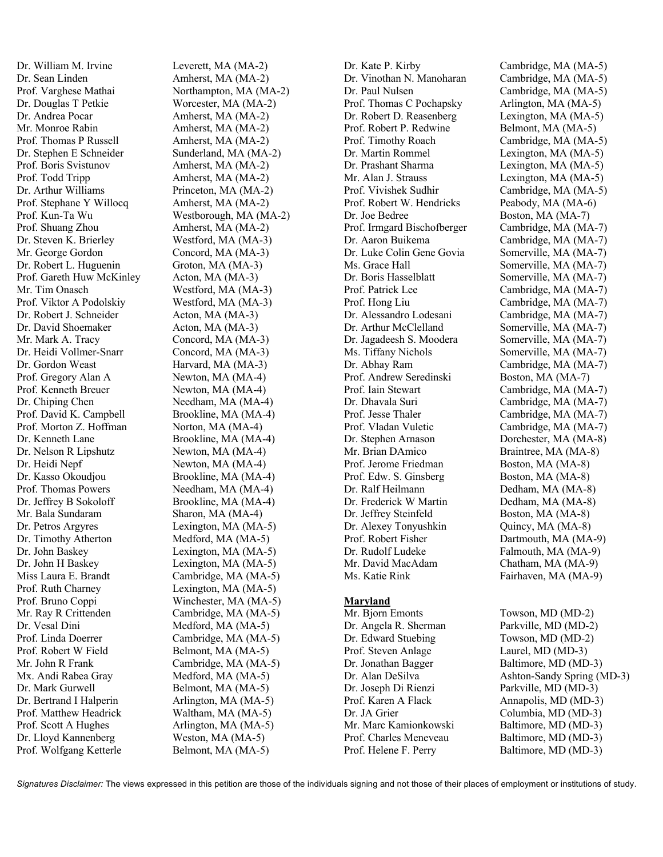Dr. William M. Irvine Leverett, MA (MA-2) Dr. Sean Linden Amherst, MA (MA-2) Dr. Douglas T Petkie Worcester, MA (MA-2) Dr. Andrea Pocar Amherst, MA (MA-2) Mr. Monroe Rabin Amherst, MA (MA-2) Prof. Thomas P Russell Amherst, MA (MA-2) Dr. Stephen E Schneider Sunderland, MA (MA-2) Prof. Boris Svistunov Amherst, MA (MA-2) Prof. Todd Tripp Amherst, MA (MA-2) Dr. Arthur Williams Princeton, MA (MA-2) Prof. Stephane Y Willocq Amherst, MA (MA-2) Prof. Shuang Zhou Amherst, MA (MA-2) Dr. Steven K. Brierley Westford, MA (MA-3) Mr. George Gordon Concord, MA (MA-3) Dr. Robert L. Huguenin Groton, MA (MA-3) Prof. Gareth Huw McKinley Acton, MA (MA-3) Mr. Tim Onasch Westford, MA (MA-3) Prof. Viktor A Podolskiy Westford, MA (MA-3) Dr. Robert J. Schneider Acton, MA (MA-3) Dr. David Shoemaker Acton, MA (MA-3) Mr. Mark A. Tracy Concord, MA (MA-3) Dr. Heidi Vollmer-Snarr Concord, MA (MA-3) Dr. Gordon Weast Harvard, MA (MA-3) Prof. Gregory Alan A Newton, MA (MA-4) Prof. Kenneth Breuer Newton, MA (MA-4) Dr. Chiping Chen Needham, MA (MA-4) Prof. David K. Campbell Brookline, MA (MA-4) Prof. Morton Z. Hoffman Norton, MA (MA-4) Dr. Kenneth Lane Brookline, MA (MA-4) Dr. Nelson R Lipshutz Newton, MA (MA-4) Dr. Heidi Nepf Newton, MA (MA-4) Dr. Kasso Okoudjou Brookline, MA (MA-4) Prof. Thomas Powers Needham, MA (MA-4) Dr. Jeffrey B Sokoloff Brookline, MA (MA-4) Mr. Bala Sundaram Sharon, MA (MA-4) Dr. Petros Argyres Lexington, MA (MA-5) Dr. Timothy Atherton Medford, MA (MA-5) Dr. John Baskey Lexington, MA (MA-5) Dr. John H Baskey Lexington, MA (MA-5) Miss Laura E. Brandt Cambridge, MA (MA-5) Prof. Ruth Charney Lexington, MA (MA-5) Prof. Bruno Coppi Winchester, MA (MA-5) Mr. Ray R Crittenden Cambridge, MA (MA-5) Dr. Vesal Dini Medford, MA (MA-5) Prof. Linda Doerrer Cambridge, MA (MA-5) Prof. Robert W Field Belmont, MA (MA-5) Mr. John R Frank Cambridge, MA (MA-5) Mx. Andi Rabea Gray Medford, MA (MA-5) Dr. Mark Gurwell Belmont, MA (MA-5) Dr. Bertrand I Halperin Arlington, MA (MA-5) Prof. Matthew Headrick Waltham, MA (MA-5) Prof. Scott A Hughes Arlington, MA (MA-5) Dr. Lloyd Kannenberg Weston, MA (MA-5) Prof. Wolfgang Ketterle Belmont, MA (MA-5)

Prof. Varghese Mathai Northampton, MA (MA-2) Prof. Kun-Ta Wu Westborough, MA (MA-2)

Dr. Vinothan N. Manoharan Cambridge, MA (MA-5) Dr. Paul Nulsen Cambridge, MA (MA-5) Prof. Thomas C Pochapsky Arlington, MA (MA-5) Dr. Robert D. Reasenberg Lexington, MA (MA-5) Prof. Robert P. Redwine Belmont, MA (MA-5) Prof. Timothy Roach Cambridge, MA (MA-5) Dr. Martin Rommel Lexington, MA (MA-5) Dr. Prashant Sharma Lexington, MA (MA-5) Mr. Alan J. Strauss Lexington, MA (MA-5) Prof. Vivishek Sudhir Cambridge, MA (MA-5) Prof. Robert W. Hendricks Peabody, MA (MA-6) Dr. Joe Bedree Boston, MA (MA-7) Prof. Irmgard Bischofberger Cambridge, MA (MA-7) Dr. Aaron Buikema Cambridge, MA (MA-7) Dr. Luke Colin Gene Govia Somerville, MA (MA-7) Ms. Grace Hall Somerville, MA (MA-7) Dr. Boris Hasselblatt Somerville, MA (MA-7) Prof. Patrick Lee Cambridge, MA (MA-7) Prof. Hong Liu Cambridge, MA (MA-7) Dr. Alessandro Lodesani Cambridge, MA (MA-7) Dr. Arthur McClelland Somerville, MA (MA-7) Dr. Jagadeesh S. Moodera Somerville, MA (MA-7) Ms. Tiffany Nichols Somerville, MA (MA-7) Dr. Abhay Ram Cambridge, MA (MA-7) Prof. Andrew Seredinski Boston, MA (MA-7) Prof. Iain Stewart Cambridge, MA (MA-7) Dr. Dhavala Suri Cambridge, MA (MA-7) Prof. Jesse Thaler Cambridge, MA (MA-7) Prof. Vladan Vuletic Cambridge, MA (MA-7) Dr. Stephen Arnason Dorchester, MA (MA-8) Mr. Brian DAmico Braintree, MA (MA-8) Prof. Jerome Friedman Boston, MA (MA-8) Prof. Edw. S. Ginsberg Boston, MA (MA-8) Dr. Ralf Heilmann Dedham, MA (MA-8) Dr. Frederick W Martin Dedham, MA (MA-8) Dr. Jeffrey Steinfeld Boston, MA (MA-8) Dr. Alexey Tonyushkin Quincy, MA (MA-8) Prof. Robert Fisher Dartmouth, MA (MA-9) Dr. Rudolf Ludeke Falmouth, MA (MA-9) Mr. David MacAdam Chatham, MA (MA-9) Ms. Katie Rink Fairhaven, MA (MA-9) **Maryland** Mr. Bjorn Emonts Towson, MD (MD-2) Dr. Angela R. Sherman Parkville, MD (MD-2) Dr. Edward Stuebing Towson, MD (MD-2)

Dr. Kate P. Kirby Cambridge, MA (MA-5)

Prof. Steven Anlage Laurel, MD (MD-3) Dr. Jonathan Bagger Baltimore, MD (MD-3) Dr. Alan DeSilva Ashton-Sandy Spring (MD-3) Dr. Joseph Di Rienzi Parkville, MD (MD-3) Prof. Karen A Flack Annapolis, MD (MD-3) Dr. JA Grier Columbia, MD (MD-3) Mr. Marc Kamionkowski Baltimore, MD (MD-3) Prof. Charles Meneveau Baltimore, MD (MD-3) Prof. Helene F. Perry Baltimore, MD (MD-3)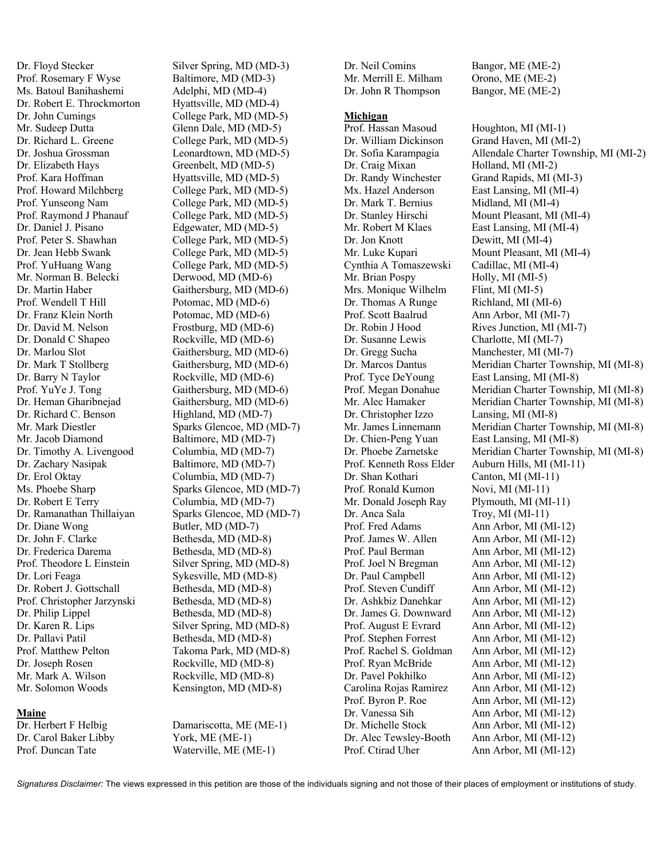Dr. Floyd Stecker Silver Spring, MD (MD-3) Prof. Rosemary F Wyse Baltimore, MD (MD-3) Ms. Batoul Banihashemi Adelphi, MD (MD-4) Dr. Robert E. Throckmorton Hyattsville, MD (MD-4) Dr. John Cumings College Park, MD (MD-5) Mr. Sudeep Dutta Glenn Dale, MD (MD-5) Dr. Richard L. Greene College Park, MD (MD-5) Dr. Joshua Grossman Leonardtown, MD (MD-5) Dr. Elizabeth Hays Greenbelt, MD (MD-5) Prof. Kara Hoffman Hyattsville, MD (MD-5) Prof. Howard Milchberg College Park, MD (MD-5) Prof. Yunseong Nam College Park, MD (MD-5) Prof. Raymond J Phanauf College Park, MD (MD-5) Dr. Daniel J. Pisano Edgewater, MD (MD-5) Prof. Peter S. Shawhan College Park, MD (MD-5) Dr. Jean Hebb Swank College Park, MD (MD-5) Prof. YuHuang Wang College Park, MD (MD-5) Mr. Norman B. Belecki Derwood, MD (MD-6) Dr. Martin Haber Gaithersburg, MD (MD-6) Prof. Wendell T Hill Potomac, MD (MD-6) Dr. Franz Klein North Potomac, MD (MD-6) Dr. David M. Nelson Frostburg, MD (MD-6) Dr. Donald C Shapeo Rockville, MD (MD-6) Dr. Marlou Slot Gaithersburg, MD (MD-6) Dr. Mark T Stollberg Gaithersburg, MD (MD-6) Dr. Barry N Taylor Rockville, MD (MD-6) Prof. YuYe J. Tong Gaithersburg, MD (MD-6) Dr. Heman Gharibnejad Gaithersburg, MD (MD-6) Dr. Richard C. Benson Highland, MD (MD-7) Mr. Jacob Diamond Baltimore, MD (MD-7) Dr. Timothy A. Livengood Columbia, MD (MD-7) Dr. Zachary Nasipak Baltimore, MD (MD-7) Dr. Erol Oktay Columbia, MD (MD-7) Dr. Robert E Terry Columbia, MD (MD-7) Dr. Diane Wong Butler, MD (MD-7) Dr. John F. Clarke Bethesda, MD (MD-8) Dr. Frederica Darema Bethesda, MD (MD-8) Prof. Theodore L Einstein Silver Spring, MD (MD-8) Dr. Lori Feaga Sykesville, MD (MD-8) Dr. Robert J. Gottschall Bethesda, MD (MD-8) Prof. Christopher Jarzynski Bethesda, MD (MD-8) Dr. Philip Lippel Bethesda, MD (MD-8) Dr. Karen R. Lips Silver Spring, MD (MD-8) Dr. Pallavi Patil Bethesda, MD (MD-8) Prof. Matthew Pelton Takoma Park, MD (MD-8) Dr. Joseph Rosen Rockville, MD (MD-8) Mr. Mark A. Wilson Rockville, MD (MD-8)

## **Maine**

Dr. Carol Baker Libby York, ME (ME-1) Prof. Duncan Tate Waterville, ME (ME-1)

Mr. Mark Diestler Sparks Glencoe, MD (MD-7) Ms. Phoebe Sharp Sparks Glencoe, MD (MD-7) Dr. Ramanathan Thillaiyan Sparks Glencoe, MD (MD-7) Mr. Solomon Woods Kensington, MD (MD-8)

Dr. Herbert F Helbig Damariscotta, ME (ME-1)

Mr. Merrill E. Milham Orono, ME (ME-2) Dr. John R Thompson Bangor, ME (ME-2)

#### **Michigan**

Prof. Hassan Masoud Houghton, MI (MI-1) Dr. William Dickinson Grand Haven, MI (MI-2) Dr. Craig Mixan Holland, MI (MI-2) Dr. Randy Winchester Grand Rapids, MI (MI-3) Mx. Hazel Anderson East Lansing, MI (MI-4) Dr. Mark T. Bernius Midland, MI (MI-4) Dr. Stanley Hirschi Mount Pleasant, MI (MI-4) Mr. Robert M Klaes East Lansing, MI (MI-4) Dr. Jon Knott Dewitt, MI (MI-4) Mr. Luke Kupari Mount Pleasant, MI (MI-4) Cynthia A Tomaszewski Cadillac, MI (MI-4) Mr. Brian Pospy Holly, MI (MI-5) Mrs. Monique Wilhelm Flint, MI (MI-5) Dr. Thomas A Runge Richland, MI (MI-6) Prof. Scott Baalrud Ann Arbor, MI (MI-7) Dr. Robin J Hood Rives Junction, MI (MI-7) Dr. Susanne Lewis Charlotte, MI (MI-7) Dr. Gregg Sucha Manchester, MI (MI-7) Prof. Tyce DeYoung East Lansing, MI (MI-8) Dr. Christopher Izzo Lansing, MI (MI-8) Dr. Chien-Peng Yuan East Lansing, MI (MI-8) Prof. Kenneth Ross Elder Auburn Hills, MI (MI-11) Dr. Shan Kothari Canton, MI (MI-11) Prof. Ronald Kumon Novi, MI (MI-11) Mr. Donald Joseph Ray Plymouth, MI (MI-11) Dr. Anca Sala Troy, MI (MI-11) Prof. Fred Adams Ann Arbor, MI (MI-12)<br>Prof. James W. Allen Ann Arbor, MI (MI-12) Prof. Paul Berman Ann Arbor, MI (MI-12) Prof. Joel N Bregman Ann Arbor, MI (MI-12) Dr. Paul Campbell Ann Arbor, MI (MI-12) Prof. Steven Cundiff Ann Arbor, MI (MI-12) Dr. Ashkbiz Danehkar Ann Arbor, MI (MI-12) Dr. James G. Downward Ann Arbor, MI (MI-12) Prof. August E Evrard Ann Arbor, MI (MI-12) Prof. Stephen Forrest Ann Arbor, MI (MI-12) Prof. Rachel S. Goldman Ann Arbor, MI (MI-12) Prof. Ryan McBride Ann Arbor, MI (MI-12) Dr. Pavel Pokhilko Ann Arbor, MI (MI-12) Carolina Rojas Ramirez Ann Arbor, MI (MI-12) Prof. Byron P. Roe Ann Arbor, MI (MI-12) Dr. Vanessa Sih Ann Arbor, MI (MI-12) Dr. Michelle Stock Ann Arbor, MI (MI-12) Dr. Alec Tewsley-Booth Ann Arbor, MI (MI-12) Prof. Ctirad Uher Ann Arbor, MI (MI-12)

Dr. Neil Comins Bangor, ME (ME-2)

Dr. Sofia Karampagia Allendale Charter Township, MI (MI-2) Dr. Marcos Dantus Meridian Charter Township, MI (MI-8) Prof. Megan Donahue Meridian Charter Township, MI (MI-8) Mr. Alec Hamaker Meridian Charter Township, MI (MI-8) Mr. James Linnemann Meridian Charter Township, MI (MI-8) Dr. Phoebe Zarnetske Meridian Charter Township, MI (MI-8) Ann Arbor, MI (MI-12)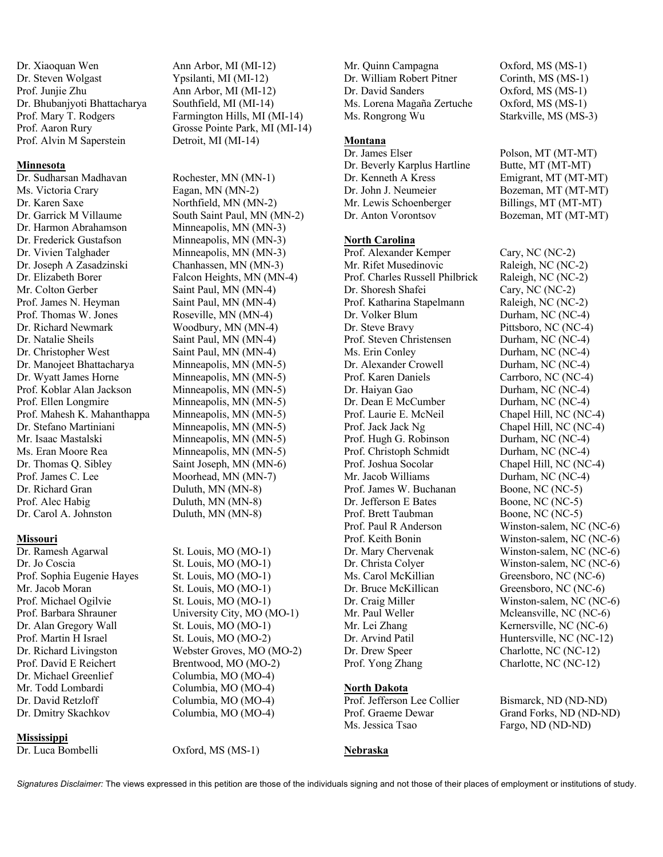Dr. Xiaoquan Wen Ann Arbor, MI (MI-12) Dr. Steven Wolgast Ypsilanti, MI (MI-12) Prof. Junjie Zhu Ann Arbor, MI (MI-12) Dr. Bhubanjyoti Bhattacharya Southfield, MI (MI-14) Prof. Alvin M Saperstein Detroit, MI (MI-14)

## **Minnesota**

Dr. Sudharsan Madhavan Rochester, MN (MN-1) Ms. Victoria Crary Eagan, MN (MN-2) Dr. Karen Saxe Northfield, MN (MN-2) Dr. Harmon Abrahamson Minneapolis, MN (MN-3) Dr. Frederick Gustafson Minneapolis, MN (MN-3) Dr. Vivien Talghader Minneapolis, MN (MN-3) Dr. Joseph A Zasadzinski Chanhassen, MN (MN-3) Dr. Elizabeth Borer Falcon Heights, MN (MN-4) Mr. Colton Gerber Saint Paul, MN (MN-4) Prof. James N. Heyman Saint Paul, MN (MN-4) Prof. Thomas W. Jones Roseville, MN (MN-4) Dr. Richard Newmark Woodbury, MN (MN-4) Dr. Natalie Sheils Saint Paul, MN (MN-4) Dr. Christopher West Saint Paul, MN (MN-4) Dr. Manojeet Bhattacharya Minneapolis, MN (MN-5) Dr. Wyatt James Horne Minneapolis, MN (MN-5) Prof. Koblar Alan Jackson Minneapolis, MN (MN-5) Prof. Ellen Longmire Minneapolis, MN (MN-5) Prof. Mahesh K. Mahanthappa Minneapolis, MN (MN-5) Dr. Stefano Martiniani Minneapolis, MN (MN-5) Mr. Isaac Mastalski Minneapolis, MN (MN-5) Ms. Eran Moore Rea Minneapolis, MN (MN-5) Dr. Thomas Q. Sibley Saint Joseph, MN (MN-6) Prof. James C. Lee Moorhead, MN (MN-7) Dr. Richard Gran Duluth, MN (MN-8) Prof. Alec Habig Duluth, MN (MN-8) Dr. Carol A. Johnston Duluth, MN (MN-8)

## **Missouri**

Dr. Ramesh Agarwal St. Louis, MO (MO-1) Dr. Jo Coscia St. Louis, MO (MO-1) Prof. Sophia Eugenie Hayes St. Louis, MO (MO-1) Mr. Jacob Moran St. Louis, MO (MO-1) Prof. Michael Ogilvie St. Louis, MO (MO-1) Dr. Alan Gregory Wall St. Louis, MO (MO-1) Prof. Martin H Israel St. Louis, MO (MO-2) Prof. David E Reichert Brentwood, MO (MO-2) Dr. Michael Greenlief Columbia, MO (MO-4) Mr. Todd Lombardi Columbia, MO (MO-4) Dr. David Retzloff Columbia, MO (MO-4) Dr. Dmitry Skachkov Columbia, MO (MO-4)

## **Mississippi**

Dr. Luca Bombelli Oxford, MS (MS-1)

Prof. Mary T. Rodgers Farmington Hills, MI (MI-14) Prof. Aaron Rury Grosse Pointe Park, MI (MI-14)

Dr. Garrick M Villaume South Saint Paul, MN (MN-2)

Prof. Barbara Shrauner University City, MO (MO-1) Dr. Richard Livingston Webster Groves, MO (MO-2) Mr. Quinn Campagna Oxford, MS (MS-1) Dr. William Robert Pitner Corinth, MS (MS-1) Dr. David Sanders Oxford, MS (MS-1) Ms. Lorena Magaña Zertuche Oxford, MS (MS-1) Ms. Rongrong Wu Starkville, MS (MS-3)

# **Montana**

Dr. Beverly Karplus Hartline Butte, MT (MT-MT) Dr. Kenneth A Kress Emigrant, MT (MT-MT) Dr. John J. Neumeier Bozeman, MT (MT-MT) Mr. Lewis Schoenberger Billings, MT (MT-MT) Dr. Anton Vorontsov Bozeman, MT (MT-MT)

#### **North Carolina**

Prof. Alexander Kemper Cary, NC (NC-2) Mr. Rifet Musedinovic Raleigh, NC (NC-2) Prof. Charles Russell Philbrick Raleigh, NC (NC-2) Dr. Shoresh Shafei Cary, NC (NC-2) Prof. Katharina Stapelmann Raleigh, NC (NC-2) Dr. Volker Blum Durham, NC (NC-4) Dr. Steve Bravy Pittsboro, NC (NC-4) Prof. Steven Christensen Durham, NC (NC-4) Ms. Erin Conley Durham, NC (NC-4) Dr. Alexander Crowell Durham, NC (NC-4) Prof. Karen Daniels Carrboro, NC (NC-4) Dr. Haiyan Gao Durham, NC (NC-4) Dr. Dean E McCumber Durham, NC (NC-4) Prof. Laurie E. McNeil Chapel Hill, NC (NC-4) Prof. Jack Jack Ng Chapel Hill, NC (NC-4) Prof. Hugh G. Robinson Durham, NC (NC-4) Prof. Christoph Schmidt Durham, NC (NC-4) Prof. Joshua Socolar Chapel Hill, NC (NC-4) Mr. Jacob Williams Durham, NC (NC-4) Prof. James W. Buchanan Boone, NC (NC-5) Dr. Jefferson E Bates Boone, NC (NC-5) Prof. Brett Taubman Boone, NC (NC-5) Prof. Paul R Anderson Winston-salem, NC (NC-6) Prof. Keith Bonin Winston-salem, NC (NC-6) Dr. Mary Chervenak Winston-salem, NC (NC-6) Dr. Christa Colyer Winston-salem, NC (NC-6) Ms. Carol McKillian Greensboro, NC (NC-6) Dr. Bruce McKillican Greensboro, NC (NC-6) Dr. Craig Miller Winston-salem, NC (NC-6) Mr. Paul Weller Mcleansville, NC (NC-6) Mr. Lei Zhang Kernersville, NC (NC-6) Dr. Arvind Patil Huntersville, NC (NC-12) Dr. Drew Speer Charlotte, NC (NC-12)

## **North Dakota**

Ms. Jessica Tsao Fargo, ND (ND-ND)

## **Nebraska**

Dr. James Elser Polson, MT (MT-MT)

Prof. Yong Zhang Charlotte, NC (NC-12)

Prof. Jefferson Lee Collier Bismarck, ND (ND-ND) Prof. Graeme Dewar Grand Forks, ND (ND-ND)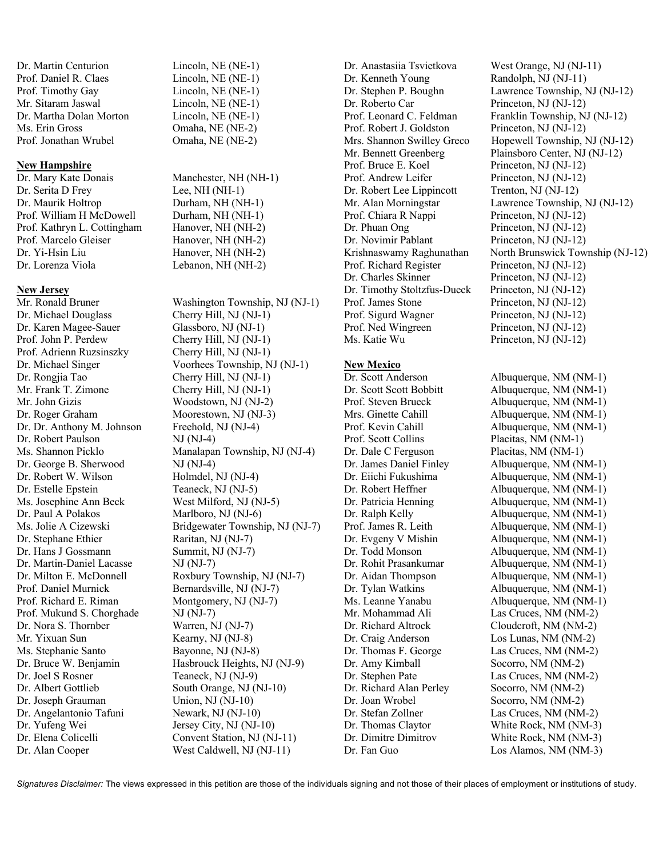Dr. Martin Centurion Lincoln, NE (NE-1) Prof. Daniel R. Claes Lincoln, NE (NE-1) Prof. Timothy Gay Lincoln, NE (NE-1) Mr. Sitaram Jaswal Lincoln, NE (NE-1) Dr. Martha Dolan Morton Lincoln, NE (NE-1) Ms. Erin Gross Omaha, NE (NE-2) Prof. Jonathan Wrubel Omaha, NE (NE-2)

#### **New Hampshire**

Dr. Mary Kate Donais Manchester, NH (NH-1) Dr. Serita D Frey Lee, NH (NH-1) Dr. Maurik Holtrop Durham, NH (NH-1) Prof. William H McDowell Durham, NH (NH-1) Prof. Kathryn L. Cottingham Hanover, NH (NH-2) Prof. Marcelo Gleiser Hanover, NH (NH-2) Dr. Yi-Hsin Liu Hanover, NH (NH-2) Dr. Lorenza Viola Lebanon, NH (NH-2)

# **New Jersey**

Dr. Michael Douglass Cherry Hill, NJ (NJ-1) Dr. Karen Magee-Sauer Glassboro, NJ (NJ-1) Prof. John P. Perdew Cherry Hill, NJ (NJ-1) Prof. Adrienn Ruzsinszky Cherry Hill, NJ (NJ-1) Dr. Rongjia Tao Cherry Hill, NJ (NJ-1) Mr. Frank T. Zimone Cherry Hill, NJ (NJ-1) Mr. John Gizis Woodstown, NJ (NJ-2) Dr. Roger Graham Moorestown, NJ (NJ-3) Dr. Dr. Anthony M. Johnson Freehold, NJ (NJ-4) Dr. Robert Paulson NJ (NJ-4) Dr. George B. Sherwood NJ (NJ-4) Dr. Robert W. Wilson Holmdel, NJ (NJ-4) Dr. Estelle Epstein Teaneck, NJ (NJ-5) Ms. Josephine Ann Beck West Milford, NJ (NJ-5) Dr. Paul A Polakos Marlboro, NJ (NJ-6) Dr. Stephane Ethier Raritan, NJ (NJ-7) Dr. Hans J Gossmann Summit, NJ (NJ-7) Dr. Martin-Daniel Lacasse NJ (NJ-7) Prof. Daniel Murnick Bernardsville, NJ (NJ-7) Prof. Richard E. Riman Montgomery, NJ (NJ-7) Prof. Mukund S. Chorghade NJ (NJ-7) Dr. Nora S. Thornber Warren, NJ (NJ-7) Mr. Yixuan Sun Kearny, NJ (NJ-8) Ms. Stephanie Santo Bayonne, NJ (NJ-8) Dr. Joel S Rosner Teaneck, NJ (NJ-9) Dr. Albert Gottlieb South Orange, NJ (NJ-10) Dr. Joseph Grauman Union, NJ (NJ-10) Dr. Angelantonio Tafuni Newark, NJ (NJ-10) Dr. Yufeng Wei Jersey City, NJ (NJ-10) Dr. Alan Cooper West Caldwell, NJ (NJ-11)

Mr. Ronald Bruner Washington Township, NJ (NJ-1) Dr. Michael Singer Voorhees Township, NJ (NJ-1) Ms. Shannon Picklo Manalapan Township, NJ (NJ-4) Ms. Jolie A Cizewski Bridgewater Township, NJ (NJ-7) Dr. Milton E. McDonnell Roxbury Township, NJ (NJ-7) Dr. Bruce W. Benjamin Hasbrouck Heights, NJ (NJ-9) Dr. Elena Colicelli Convent Station, NJ (NJ-11)

Dr. Kenneth Young Randolph, NJ (NJ-11) Dr. Roberto Car Princeton, NJ (NJ-12) Prof. Robert J. Goldston Princeton, NJ (NJ-12) Prof. Bruce E. Koel Princeton, NJ (NJ-12) Prof. Andrew Leifer Princeton, NJ (NJ-12) Dr. Robert Lee Lippincott Trenton, NJ (NJ-12) Prof. Chiara R Nappi Princeton, NJ (NJ-12) Dr. Phuan Ong Princeton, NJ (NJ-12) Dr. Novimir Pablant Princeton, NJ (NJ-12) Prof. Richard Register Princeton, NJ (NJ-12) Dr. Charles Skinner Princeton, NJ (NJ-12) Dr. Timothy Stoltzfus-Dueck Princeton, NJ (NJ-12) Prof. James Stone Princeton, NJ (NJ-12) Prof. Sigurd Wagner Princeton, NJ (NJ-12) Prof. Ned Wingreen Princeton, NJ (NJ-12) Ms. Katie Wu Princeton, NJ (NJ-12)

#### **New Mexico**

Dr. Scott Anderson Albuquerque, NM (NM-1) Prof. Scott Collins Placitas, NM (NM-1) Dr. Dale C Ferguson Placitas, NM (NM-1) Dr. Craig Anderson Los Lunas, NM (NM-2) Dr. Amy Kimball Socorro, NM (NM-2) Dr. Richard Alan Perley Socorro, NM (NM-2) Dr. Joan Wrobel Socorro, NM (NM-2)

Dr. Anastasiia Tsvietkova West Orange, NJ (NJ-11) Dr. Stephen P. Boughn Lawrence Township, NJ (NJ-12) Prof. Leonard C. Feldman Franklin Township, NJ (NJ-12) Mrs. Shannon Swilley Greco Hopewell Township, NJ (NJ-12) Mr. Bennett Greenberg Plainsboro Center, NJ (NJ-12) Mr. Alan Morningstar Lawrence Township, NJ (NJ-12) Krishnaswamy Raghunathan North Brunswick Township (NJ-12)

Dr. Scott Scott Bobbitt Albuquerque, NM (NM-1) Prof. Steven Brueck Albuquerque, NM (NM-1) Mrs. Ginette Cahill Albuquerque, NM (NM-1) Prof. Kevin Cahill Albuquerque, NM (NM-1) Dr. James Daniel Finley Albuquerque, NM (NM-1) Dr. Eiichi Fukushima Albuquerque, NM (NM-1) Dr. Robert Heffner Albuquerque, NM (NM-1) Dr. Patricia Henning Albuquerque, NM (NM-1) Dr. Ralph Kelly Albuquerque, NM (NM-1) Prof. James R. Leith Albuquerque, NM (NM-1) Dr. Evgeny V Mishin Albuquerque, NM (NM-1) Dr. Todd Monson Albuquerque, NM (NM-1) Dr. Rohit Prasankumar Albuquerque, NM (NM-1) Dr. Aidan Thompson Albuquerque, NM (NM-1) Dr. Tylan Watkins Albuquerque, NM (NM-1) Ms. Leanne Yanabu Albuquerque, NM (NM-1) Mr. Mohammad Ali Las Cruces, NM (NM-2) Dr. Richard Altrock Cloudcroft, NM (NM-2) Dr. Thomas F. George Las Cruces, NM (NM-2) Dr. Stephen Pate Las Cruces, NM (NM-2) Dr. Stefan Zollner Las Cruces, NM (NM-2) Dr. Thomas Claytor White Rock, NM (NM-3) Dr. Dimitre Dimitrov White Rock, NM (NM-3) Dr. Fan Guo Los Alamos, NM (NM-3)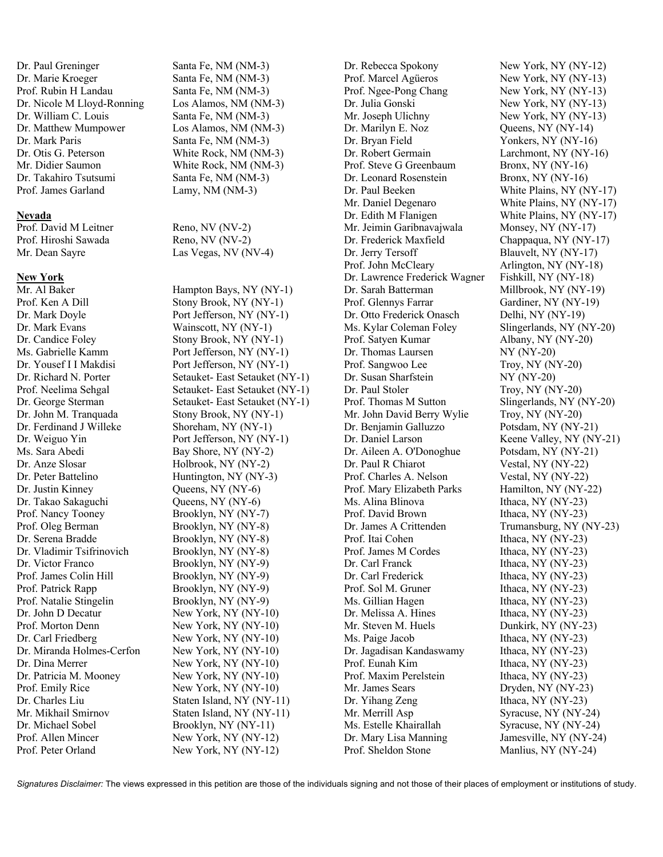Dr. Paul Greninger Santa Fe, NM (NM-3) Dr. Marie Kroeger Santa Fe, NM (NM-3) Prof. Rubin H Landau Santa Fe, NM (NM-3) Dr. Nicole M Lloyd-Ronning Los Alamos, NM (NM-3) Dr. William C. Louis Santa Fe, NM (NM-3) Dr. Matthew Mumpower Los Alamos, NM (NM-3) Dr. Mark Paris Santa Fe, NM (NM-3) Dr. Otis G. Peterson White Rock, NM (NM-3) Mr. Didier Saumon White Rock, NM (NM-3) Dr. Takahiro Tsutsumi Santa Fe, NM (NM-3) Prof. James Garland Lamy, NM (NM-3)

## **Nevada**

Prof. Hiroshi Sawada Reno, NV (NV-2)

## **New York**

Prof. Ken A Dill Stony Brook, NY (NY-1) Dr. Mark Evans Wainscott, NY (NY-1) Dr. Candice Foley Stony Brook, NY (NY-1) Dr. John M. Tranquada Stony Brook, NY (NY-1) Dr. Ferdinand J Willeke Shoreham, NY (NY-1) Ms. Sara Abedi Bay Shore, NY (NY-2) Dr. Anze Slosar Holbrook, NY (NY-2) Dr. Peter Battelino Huntington, NY (NY-3) Dr. Justin Kinney Queens, NY (NY-6) Dr. Takao Sakaguchi Queens, NY (NY-6) Prof. Nancy Tooney Brooklyn, NY (NY-7) Prof. Oleg Berman Brooklyn, NY (NY-8) Dr. Serena Bradde Brooklyn, NY (NY-8) Dr. Vladimir Tsifrinovich Brooklyn, NY (NY-8) Dr. Victor Franco Brooklyn, NY (NY-9) Prof. James Colin Hill Brooklyn, NY (NY-9) Prof. Patrick Rapp Brooklyn, NY (NY-9) Prof. Natalie Stingelin Brooklyn, NY (NY-9) Dr. John D Decatur New York, NY (NY-10) Prof. Morton Denn New York, NY (NY-10) Dr. Carl Friedberg New York, NY (NY-10) Dr. Miranda Holmes-Cerfon New York, NY (NY-10) Dr. Dina Merrer New York, NY (NY-10) Dr. Patricia M. Mooney New York, NY (NY-10) Prof. Emily Rice New York, NY (NY-10) Dr. Michael Sobel Brooklyn, NY (NY-11) Prof. Allen Mincer New York, NY (NY-12)

Prof. David M Leitner Reno, NV (NV-2) Mr. Dean Sayre Las Vegas, NV (NV-4)

Mr. Al Baker Hampton Bays, NY (NY-1) Dr. Mark Doyle Port Jefferson, NY (NY-1) Ms. Gabrielle Kamm Port Jefferson, NY (NY-1) Dr. Yousef I I Makdisi Port Jefferson, NY (NY-1) Dr. Richard N. Porter Setauket- East Setauket (NY-1) Prof. Neelima Sehgal Setauket- East Setauket (NY-1) Dr. George Sterman Setauket- East Setauket (NY-1) Dr. Weiguo Yin Port Jefferson, NY (NY-1) Dr. Charles Liu Staten Island, NY (NY-11) Mr. Mikhail Smirnov Staten Island, NY (NY-11) Prof. Peter Orland New York, NY (NY-12)

Prof. Marcel Agüeros New York, NY (NY-13) Prof. Ngee-Pong Chang New York, NY (NY-13) Dr. Julia Gonski New York, NY (NY-13) Mr. Joseph Ulichny New York, NY (NY-13) Dr. Marilyn E. Noz Queens, NY (NY-14) Dr. Bryan Field Yonkers, NY (NY-16) Dr. Robert Germain Larchmont, NY (NY-16) Prof. Steve G Greenbaum Bronx, NY (NY-16) Dr. Leonard Rosenstein Bronx, NY (NY-16) Mr. Jeimin Garibnavajwala Monsey, NY (NY-17) Dr. Frederick Maxfield Chappaqua, NY (NY-17) Dr. Jerry Tersoff Blauvelt, NY (NY-17) Prof. John McCleary Arlington, NY (NY-18) Dr. Lawrence Frederick Wagner Fishkill, NY (NY-18) Dr. Sarah Batterman Millbrook, NY (NY-19) Prof. Glennys Farrar Gardiner, NY (NY-19) Dr. Otto Frederick Onasch Delhi, NY (NY-19) Ms. Kylar Coleman Foley Slingerlands, NY (NY-20) Prof. Satyen Kumar Albany, NY (NY-20) Dr. Thomas Laursen NY (NY-20) Prof. Sangwoo Lee Troy, NY (NY-20) Dr. Susan Sharfstein NY (NY-20) Dr. Paul Stoler Troy, NY (NY-20) Prof. Thomas M Sutton Slingerlands, NY (NY-20) Mr. John David Berry Wylie Troy, NY (NY-20) Dr. Benjamin Galluzzo Potsdam, NY (NY-21) Dr. Aileen A. O'Donoghue Potsdam, NY (NY-21) Dr. Paul R Chiarot Vestal, NY (NY-22) Prof. Charles A. Nelson Vestal, NY (NY-22) Prof. Mary Elizabeth Parks Hamilton, NY (NY-22) Ms. Alina Blinova<br>Ithaca, NY (NY-23) Prof. David Brown Ithaca, NY (NY-23) Prof. Itai Cohen Ithaca, NY (NY-23) Prof. James M Cordes Ithaca, NY (NY-23) Dr. Carl Franck Ithaca, NY (NY-23) Dr. Carl Frederick Ithaca, NY (NY-23) Prof. Sol M. Gruner Ithaca, NY (NY-23) Ms. Gillian Hagen Ithaca, NY (NY-23) Dr. Melissa A. Hines Ithaca, NY (NY-23) Mr. Steven M. Huels Dunkirk, NY (NY-23) Ms. Paige Jacob Ithaca, NY (NY-23) Dr. Jagadisan Kandaswamy Ithaca, NY (NY-23) Prof. Eunah Kim Ithaca, NY (NY-23) Prof. Maxim Perelstein Ithaca, NY (NY-23) Mr. James Sears Dryden, NY (NY-23) Dr. Yihang Zeng Ithaca, NY (NY-23) Mr. Merrill Asp Syracuse, NY (NY-24) Ms. Estelle Khairallah Syracuse, NY (NY-24) Dr. Mary Lisa Manning Jamesville, NY (NY-24) Prof. Sheldon Stone Manlius, NY (NY-24)

Dr. Rebecca Spokony New York, NY (NY-12) Dr. Paul Beeken White Plains, NY (NY-17) Mr. Daniel Degenaro White Plains, NY (NY-17) Dr. Edith M Flanigen White Plains, NY (NY-17) Dr. Daniel Larson Keene Valley, NY (NY-21) Dr. James A Crittenden Trumansburg, NY (NY-23)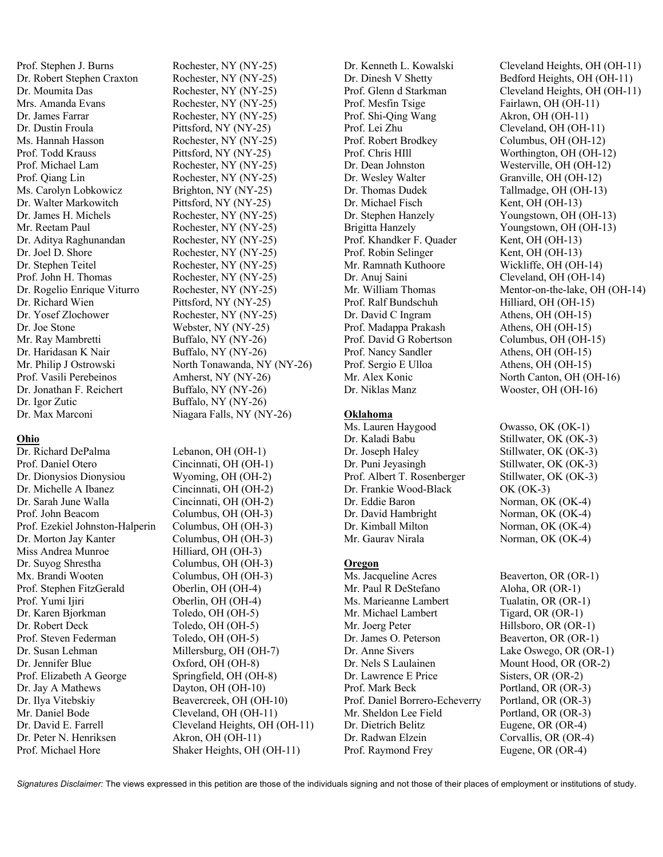Prof. Stephen J. Burns Rochester, NY (NY-25) Dr. Robert Stephen Craxton Rochester, NY (NY-25) Dr. Moumita Das Rochester, NY (NY-25) Mrs. Amanda Evans Rochester, NY (NY-25) Dr. James Farrar Rochester, NY (NY-25) Dr. Dustin Froula Pittsford, NY (NY-25) Ms. Hannah Hasson Rochester, NY (NY-25) Prof. Todd Krauss Pittsford, NY (NY-25) Prof. Michael Lam Rochester, NY (NY-25) Prof. Qiang Lin Rochester, NY (NY-25) Ms. Carolyn Lobkowicz Brighton, NY (NY-25) Dr. Walter Markowitch Pittsford, NY (NY-25) Dr. James H. Michels Rochester, NY (NY-25) Mr. Reetam Paul Rochester, NY (NY-25) Dr. Aditya Raghunandan Rochester, NY (NY-25) Dr. Joel D. Shore Rochester, NY (NY-25) Dr. Stephen Teitel Rochester, NY (NY-25) Prof. John H. Thomas Rochester, NY (NY-25) Dr. Rogelio Enrique Viturro Rochester, NY (NY-25) Dr. Richard Wien Pittsford, NY (NY-25) Dr. Yosef Zlochower Rochester, NY (NY-25) Dr. Joe Stone Webster, NY (NY-25) Mr. Ray Mambretti Buffalo, NY (NY-26) Dr. Haridasan K Nair Buffalo, NY (NY-26) Prof. Vasili Perebeinos Amherst, NY (NY-26) Dr. Jonathan F. Reichert Buffalo, NY (NY-26) Dr. Igor Zutic Buffalo, NY (NY-26)

## **Ohio**

Dr. Richard DePalma Lebanon, OH (OH-1) Prof. Daniel Otero Cincinnati, OH (OH-1) Dr. Dionysios Dionysiou Wyoming, OH (OH-2) Dr. Michelle A Ibanez Cincinnati, OH (OH-2) Dr. Sarah June Walla Cincinnati, OH (OH-2) Prof. John Beacom Columbus, OH (OH-3) Prof. Ezekiel Johnston-Halperin Columbus, OH (OH-3) Dr. Morton Jay Kanter Columbus, OH (OH-3) Miss Andrea Munroe Hilliard, OH (OH-3) Dr. Suyog Shrestha Columbus, OH (OH-3) Mx. Brandi Wooten Columbus, OH (OH-3) Prof. Stephen FitzGerald Oberlin, OH (OH-4) Prof. Yumi Ijiri Oberlin, OH (OH-4) Dr. Karen Bjorkman Toledo, OH (OH-5) Dr. Robert Deck Toledo, OH (OH-5) Prof. Steven Federman Toledo, OH (OH-5) Dr. Susan Lehman Millersburg, OH (OH-7) Dr. Jennifer Blue Oxford, OH (OH-8) Prof. Elizabeth A George Springfield, OH (OH-8) Dr. Jay A Mathews Dayton, OH (OH-10) Dr. Ilya Vitebskiy Beavercreek, OH (OH-10) Mr. Daniel Bode Cleveland, OH (OH-11) Dr. David E. Farrell Cleveland Heights, OH (OH-11) Dr. Peter N. Henriksen Akron, OH (OH-11)

Mr. Philip J Ostrowski North Tonawanda, NY (NY-26) Dr. Max Marconi Niagara Falls, NY (NY-26)

Prof. Michael Hore Shaker Heights, OH (OH-11)

Prof. Mesfin Tsige Fairlawn, OH (OH-11) Prof. Shi-Qing Wang Akron, OH (OH-11) Prof. Lei Zhu Cleveland, OH (OH-11) Prof. Robert Brodkey Columbus, OH (OH-12) Dr. Dean Johnston Westerville, OH (OH-12) Dr. Wesley Walter Granville, OH (OH-12) Dr. Thomas Dudek Tallmadge, OH (OH-13) Dr. Michael Fisch Kent, OH (OH-13) Prof. Khandker F. Quader Kent, OH (OH-13) Prof. Robin Selinger Kent, OH (OH-13) Mr. Ramnath Kuthoore Wickliffe, OH (OH-14) Dr. Anuj Saini Cleveland, OH (OH-14) Prof. Ralf Bundschuh Hilliard, OH (OH-15) Dr. David C Ingram Athens, OH (OH-15) Prof. Madappa Prakash Athens, OH (OH-15) Prof. David G Robertson Columbus, OH (OH-15) Prof. Nancy Sandler Athens, OH (OH-15) Prof. Sergio E Ulloa Athens, OH (OH-15) Dr. Niklas Manz Wooster, OH (OH-16)

#### **Oklahoma**

Ms. Lauren Haygood Owasso, OK (OK-1) Dr. Kaladi Babu Stillwater, OK (OK-3) Dr. Joseph Haley Stillwater, OK (OK-3) Dr. Puni Jeyasingh Stillwater, OK (OK-3) Prof. Albert T. Rosenberger Stillwater, OK (OK-3) Dr. Frankie Wood-Black OK (OK-3) Dr. Eddie Baron Norman, OK (OK-4) Dr. David Hambright Norman, OK (OK-4)<br>
Dr. Kimball Milton Norman, OK (OK-4) Mr. Gaurav Nirala Norman, OK (OK-4)

# **Oregon**

Ms. Jacqueline Acres Beaverton, OR (OR-1) Mr. Paul R DeStefano Aloha, OR (OR-1) Ms. Marieanne Lambert Tualatin, OR (OR-1) Mr. Michael Lambert Tigard, OR (OR-1) Mr. Joerg Peter Hillsboro, OR (OR-1)<br>Dr. James O. Peterson Beaverton, OR (OR-1) Dr. Anne Sivers Lake Oswego, OR (OR-1) Dr. Nels S Laulainen Mount Hood, OR (OR-2) Dr. Lawrence E Price Sisters, OR (OR-2) Prof. Mark Beck Portland, OR (OR-3) Prof. Daniel Borrero-Echeverry Portland, OR (OR-3) Mr. Sheldon Lee Field Portland, OR (OR-3) Dr. Dietrich Belitz Eugene, OR (OR-4) Dr. Radwan Elzein Corvallis, OR (OR-4) Prof. Raymond Frey Eugene, OR (OR-4)

Dr. Kenneth L. Kowalski Cleveland Heights, OH (OH-11) Dr. Dinesh V Shetty Bedford Heights, OH (OH-11) Prof. Glenn d Starkman Cleveland Heights, OH (OH-11) Prof. Chris HIll Worthington, OH (OH-12) Dr. Stephen Hanzely Youngstown, OH (OH-13) Brigitta Hanzely Youngstown, OH (OH-13) Mr. William Thomas Mentor-on-the-lake, OH (OH-14) Mr. Alex Konic North Canton, OH (OH-16)

Norman, OK (OK-4)

Beaverton, OR (OR-1)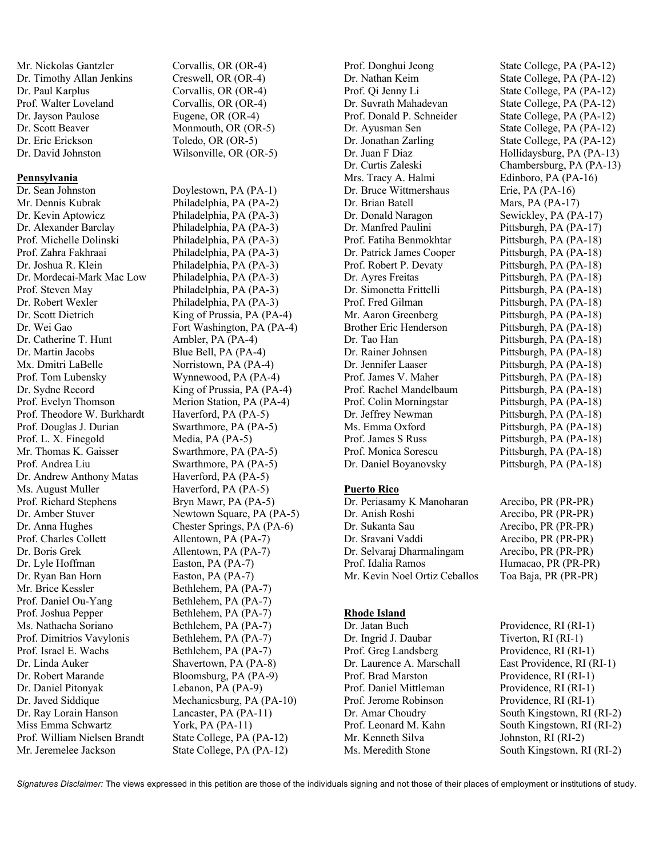Mr. Nickolas Gantzler Corvallis, OR (OR-4) Dr. Timothy Allan Jenkins Creswell, OR (OR-4) Dr. Paul Karplus Corvallis, OR (OR-4) Prof. Walter Loveland Corvallis, OR (OR-4) Dr. Jayson Paulose Eugene, OR (OR-4) Dr. Scott Beaver Monmouth, OR (OR-5) Dr. Eric Erickson Toledo, OR (OR-5) Dr. David Johnston Wilsonville, OR (OR-5)

#### **Pennsylvania**

Dr. Sean Johnston Doylestown, PA (PA-1) Mr. Dennis Kubrak Philadelphia, PA (PA-2) Dr. Kevin Aptowicz Philadelphia, PA (PA-3) Dr. Alexander Barclay Philadelphia, PA (PA-3) Prof. Michelle Dolinski Philadelphia, PA (PA-3) Prof. Zahra Fakhraai Philadelphia, PA (PA-3) Dr. Joshua R. Klein Philadelphia, PA (PA-3) Dr. Mordecai-Mark Mac Low Philadelphia, PA (PA-3) Prof. Steven May Philadelphia, PA (PA-3) Dr. Robert Wexler Philadelphia, PA (PA-3) Dr. Scott Dietrich King of Prussia, PA (PA-4) Dr. Wei Gao Fort Washington, PA (PA-4) Dr. Catherine T. Hunt Ambler, PA (PA-4) Dr. Martin Jacobs Blue Bell, PA (PA-4) Mx. Dmitri LaBelle Norristown, PA (PA-4) Prof. Tom Lubensky Wynnewood, PA (PA-4) Dr. Sydne Record King of Prussia, PA (PA-4) Prof. Evelyn Thomson Merion Station, PA (PA-4) Prof. Theodore W. Burkhardt Haverford, PA (PA-5) Prof. Douglas J. Durian Swarthmore, PA (PA-5) Prof. L. X. Finegold Media, PA (PA-5) Mr. Thomas K. Gaisser Swarthmore, PA (PA-5) Prof. Andrea Liu Swarthmore, PA (PA-5) Dr. Andrew Anthony Matas Haverford, PA (PA-5) Ms. August Muller Haverford, PA (PA-5) Prof. Richard Stephens Bryn Mawr, PA (PA-5) Dr. Amber Stuver Newtown Square, PA (PA-5) Dr. Anna Hughes Chester Springs, PA (PA-6) Prof. Charles Collett Allentown, PA (PA-7) Dr. Boris Grek Allentown, PA (PA-7) Dr. Lyle Hoffman Easton, PA (PA-7) Dr. Ryan Ban Horn Easton, PA (PA-7) Mr. Brice Kessler Bethlehem, PA (PA-7) Prof. Daniel Ou-Yang Bethlehem, PA (PA-7) Prof. Joshua Pepper Bethlehem, PA (PA-7) Ms. Nathacha Soriano Bethlehem, PA (PA-7) Prof. Dimitrios Vavylonis Bethlehem, PA (PA-7) Prof. Israel E. Wachs Bethlehem, PA (PA-7) Dr. Linda Auker Shavertown, PA (PA-8) Dr. Robert Marande Bloomsburg, PA (PA-9) Dr. Daniel Pitonyak Lebanon, PA (PA-9) Dr. Javed Siddique Mechanicsburg, PA (PA-10) Dr. Ray Lorain Hanson Lancaster, PA (PA-11) Miss Emma Schwartz York, PA (PA-11) Prof. William Nielsen Brandt State College, PA (PA-12)

Mr. Jeremelee Jackson State College, PA (PA-12)

Dr. Nathan Keim State College, PA (PA-12) Prof. Qi Jenny Li State College, PA (PA-12) Dr. Suvrath Mahadevan State College, PA (PA-12) Prof. Donald P. Schneider State College, PA (PA-12) Dr. Ayusman Sen State College, PA (PA-12) Dr. Jonathan Zarling State College, PA (PA-12) Dr. Juan F Diaz Hollidaysburg, PA (PA-13) Dr. Curtis Zaleski Chambersburg, PA (PA-13) Mrs. Tracy A. Halmi Edinboro, PA (PA-16) Dr. Bruce Wittmershaus Erie, PA (PA-16) Dr. Brian Batell Mars, PA (PA-17) Dr. Donald Naragon Sewickley, PA (PA-17) Dr. Manfred Paulini Pittsburgh, PA (PA-17) Prof. Fatiha Benmokhtar Pittsburgh, PA (PA-18) Dr. Patrick James Cooper Pittsburgh, PA (PA-18) Prof. Robert P. Devaty Pittsburgh, PA (PA-18) Dr. Ayres Freitas Pittsburgh, PA (PA-18) Dr. Simonetta Frittelli Pittsburgh, PA (PA-18) Prof. Fred Gilman Pittsburgh, PA (PA-18) Mr. Aaron Greenberg Pittsburgh, PA (PA-18) Brother Eric Henderson Pittsburgh, PA (PA-18) Dr. Tao Han Pittsburgh, PA (PA-18) Dr. Rainer Johnsen Pittsburgh, PA (PA-18) Dr. Jennifer Laaser Pittsburgh, PA (PA-18) Prof. James V. Maher Pittsburgh, PA (PA-18) Prof. Rachel Mandelbaum Pittsburgh, PA (PA-18) Prof. Colin Morningstar Pittsburgh, PA (PA-18) Dr. Jeffrey Newman Pittsburgh, PA (PA-18) Ms. Emma Oxford Pittsburgh, PA (PA-18) Prof. James S Russ Pittsburgh, PA (PA-18) Prof. Monica Sorescu Pittsburgh, PA (PA-18)

#### **Puerto Rico**

Dr. Periasamy K Manoharan Arecibo, PR (PR-PR) Dr. Anish Roshi Arecibo, PR (PR-PR) Dr. Sukanta Sau Arecibo, PR (PR-PR) Dr. Sravani Vaddi Arecibo, PR (PR-PR) Dr. Selvaraj Dharmalingam Arecibo, PR (PR-PR) Prof. Idalia Ramos Humacao, PR (PR-PR) Mr. Kevin Noel Ortiz Ceballos Toa Baja, PR (PR-PR)

## **Rhode Island**

Dr. Jatan Buch Providence, RI (RI-1) Dr. Ingrid J. Daubar Tiverton, RI (RI-1) Prof. Greg Landsberg Providence, RI (RI-1) Dr. Laurence A. Marschall East Providence, RI (RI-1) Prof. Brad Marston Providence, RI (RI-1) Prof. Daniel Mittleman Providence, RI (RI-1) Prof. Jerome Robinson Providence, RI (RI-1) Dr. Amar Choudry South Kingstown, RI (RI-2) Prof. Leonard M. Kahn South Kingstown, RI (RI-2) Mr. Kenneth Silva Johnston, RI (RI-2)

Prof. Donghui Jeong State College, PA (PA-12) Dr. Daniel Boyanovsky Pittsburgh, PA (PA-18)

- 
- Ms. Meredith Stone South Kingstown, RI (RI-2)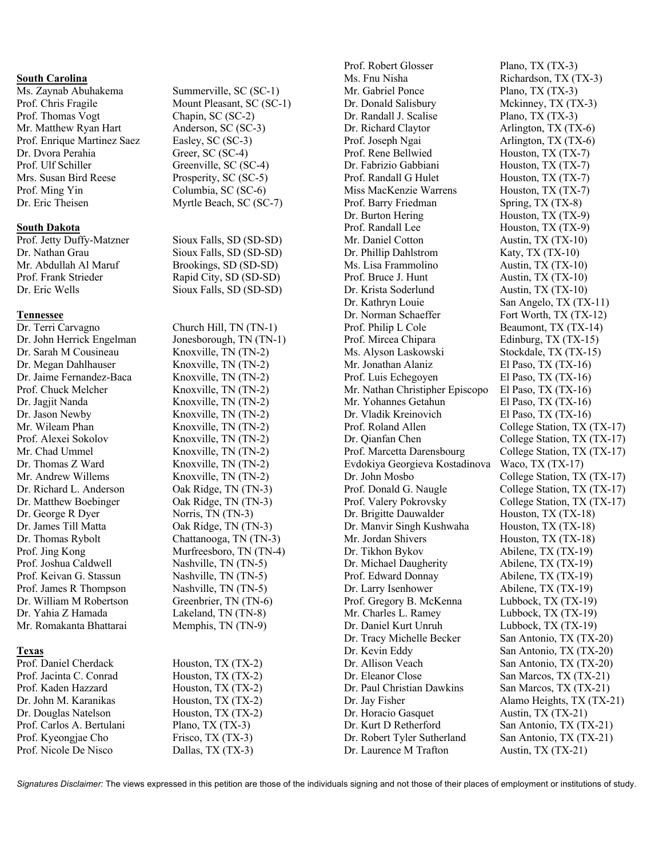#### **South Carolina**

Prof. Thomas Vogt Chapin, SC (SC-2) Mr. Matthew Ryan Hart Anderson, SC (SC-3) Prof. Enrique Martinez Saez Easley, SC (SC-3) Dr. Dvora Perahia Greer, SC (SC-4) Prof. Ulf Schiller Greenville, SC (SC-4) Mrs. Susan Bird Reese Prosperity, SC (SC-5) Prof. Ming Yin Columbia, SC (SC-6) Dr. Eric Theisen Myrtle Beach, SC (SC-7)

#### **South Dakota**

## **Tennessee**

Dr. Terri Carvagno Church Hill, TN (TN-1) Dr. Sarah M Cousineau Knoxville, TN (TN-2) Dr. Megan Dahlhauser Knoxville, TN (TN-2) Dr. Jaime Fernandez-Baca Knoxville, TN (TN-2) Prof. Chuck Melcher Knoxville, TN (TN-2) Dr. Jagjit Nanda Knoxville, TN (TN-2) Dr. Jason Newby Knoxville, TN (TN-2) Mr. Wileam Phan Knoxville, TN (TN-2) Prof. Alexei Sokolov Knoxville, TN (TN-2) Mr. Chad Ummel Knoxville, TN (TN-2) Dr. Thomas Z Ward Knoxville, TN (TN-2) Mr. Andrew Willems Knoxville, TN (TN-2) Dr. Richard L. Anderson Oak Ridge, TN (TN-3) Dr. Matthew Boebinger Oak Ridge, TN (TN-3) Dr. George R Dyer Norris, TN (TN-3) Dr. James Till Matta Oak Ridge, TN (TN-3) Dr. Thomas Rybolt Chattanooga, TN (TN-3) Prof. Joshua Caldwell Nashville, TN (TN-5) Prof. Keivan G. Stassun Nashville, TN (TN-5) Prof. James R Thompson Nashville, TN (TN-5) Dr. William M Robertson Greenbrier, TN (TN-6) Dr. Yahia Z Hamada Lakeland, TN (TN-8) Mr. Romakanta Bhattarai Memphis, TN (TN-9)

## **Texas**

Prof. Carlos A. Bertulani Plano, TX (TX-3) Prof. Kyeongjae Cho Frisco, TX (TX-3) Prof. Nicole De Nisco Dallas, TX (TX-3)

Ms. Zaynab Abuhakema Summerville, SC (SC-1) Prof. Chris Fragile Mount Pleasant, SC (SC-1)

Prof. Jetty Duffy-Matzner Sioux Falls, SD (SD-SD)<br>Dr. Nathan Grau Sioux Falls. SD (SD-SD) Sioux Falls, SD (SD-SD) Mr. Abdullah Al Maruf Brookings, SD (SD-SD) Prof. Frank Strieder Rapid City, SD (SD-SD) Dr. Eric Wells Sioux Falls, SD (SD-SD)

Dr. John Herrick Engelman Jonesborough, TN (TN-1) Prof. Jing Kong Murfreesboro, TN (TN-4)

Prof. Daniel Cherdack Houston, TX (TX-2) Prof. Jacinta C. Conrad Houston, TX (TX-2) Prof. Kaden Hazzard Houston, TX (TX-2) Dr. John M. Karanikas Houston, TX (TX-2) Dr. Douglas Natelson Houston, TX (TX-2) Prof. Robert Glosser Plano, TX (TX-3) Ms. Fnu Nisha Richardson, TX (TX-3) Mr. Gabriel Ponce Plano, TX (TX-3) Dr. Donald Salisbury Mckinney, TX (TX-3) Dr. Randall J. Scalise Plano, TX (TX-3) Dr. Richard Claytor Arlington, TX (TX-6) Prof. Joseph Ngai Arlington, TX (TX-6) Prof. Rene Bellwied Houston, TX (TX-7) Dr. Fabrizio Gabbiani Houston, TX (TX-7) Prof. Randall G Hulet Houston, TX (TX-7) Miss MacKenzie Warrens Houston, TX (TX-7) Prof. Barry Friedman Spring, TX (TX-8) Dr. Burton Hering Houston, TX (TX-9) Prof. Randall Lee Houston, TX (TX-9) Mr. Daniel Cotton Austin, TX (TX-10) Dr. Phillip Dahlstrom Katy, TX (TX-10) Ms. Lisa Frammolino Austin, TX (TX-10) Prof. Bruce J. Hunt Austin, TX (TX-10) Dr. Krista Soderlund Austin, TX (TX-10) Dr. Kathryn Louie San Angelo, TX (TX-11) Dr. Norman Schaeffer Fort Worth, TX (TX-12) Prof. Philip L Cole Beaumont, TX (TX-14) Prof. Mircea Chipara Edinburg, TX (TX-15) Ms. Alyson Laskowski Stockdale, TX (TX-15) Mr. Jonathan Alaniz El Paso, TX (TX-16) Prof. Luis Echegoyen El Paso, TX (TX-16) Mr. Nathan Christipher Episcopo El Paso, TX (TX-16) Mr. Yohannes Getahun El Paso, TX (TX-16) Dr. Vladik Kreinovich El Paso, TX (TX-16) Prof. Roland Allen College Station, TX (TX-17) Dr. Qianfan Chen College Station, TX (TX-17) Prof. Marcetta Darensbourg College Station, TX (TX-17) Evdokiya Georgieva Kostadinova Waco, TX (TX-17) Dr. John Mosbo College Station, TX (TX-17) Prof. Donald G. Naugle College Station, TX (TX-17) Prof. Valery Pokrovsky College Station, TX (TX-17) Dr. Brigitte Dauwalder Houston, TX (TX-18) Dr. Manvir Singh Kushwaha Houston, TX (TX-18) Mr. Jordan Shivers Houston, TX (TX-18) Dr. Tikhon Bykov Abilene, TX (TX-19) Dr. Michael Daugherity Abilene, TX (TX-19) Prof. Edward Donnay Abilene, TX (TX-19) Dr. Larry Isenhower Abilene, TX (TX-19) Prof. Gregory B. McKenna Lubbock, TX (TX-19) Mr. Charles L. Ramey Lubbock, TX (TX-19) Dr. Daniel Kurt Unruh Lubbock, TX (TX-19) Dr. Tracy Michelle Becker San Antonio, TX (TX-20) Dr. Kevin Eddy San Antonio, TX (TX-20) Dr. Allison Veach San Antonio, TX (TX-20) Dr. Eleanor Close San Marcos, TX (TX-21) Dr. Paul Christian Dawkins San Marcos, TX (TX-21) Dr. Jay Fisher Alamo Heights, TX (TX-21) Dr. Horacio Gasquet Austin, TX (TX-21) Dr. Kurt D Retherford San Antonio, TX (TX-21) Dr. Robert Tyler Sutherland San Antonio, TX (TX-21) Dr. Laurence M Trafton Austin, TX (TX-21)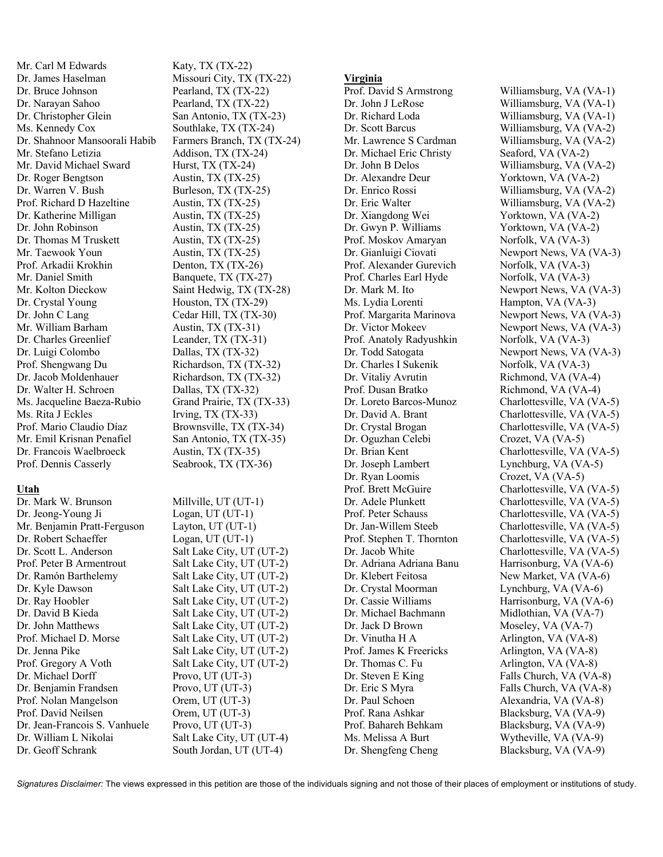Mr. Carl M Edwards Katy, TX (TX-22) Dr. James Haselman Missouri City, TX (TX-22) Dr. Bruce Johnson Pearland, TX (TX-22) Dr. Narayan Sahoo Pearland, TX (TX-22) Dr. Christopher Glein San Antonio, TX (TX-23) Ms. Kennedy Cox Southlake, TX (TX-24) Mr. Stefano Letizia Addison, TX (TX-24) Mr. David Michael Sward Hurst, TX (TX-24) Dr. Roger Bengtson Austin, TX (TX-25) Dr. Warren V. Bush Burleson, TX (TX-25) Prof. Richard D Hazeltine Austin, TX (TX-25) Dr. Katherine Milligan Austin, TX (TX-25) Dr. John Robinson Austin, TX (TX-25) Dr. Thomas M Truskett Austin, TX (TX-25) Mr. Taewook Youn Austin, TX (TX-25) Prof. Arkadii Krokhin Denton, TX (TX-26) Mr. Daniel Smith Banquete, TX (TX-27) Mr. Kolton Dieckow Saint Hedwig, TX (TX-28) Dr. Crystal Young Houston, TX (TX-29) Dr. John C Lang Cedar Hill, TX (TX-30) Mr. William Barham Austin, TX (TX-31) Dr. Charles Greenlief Leander, TX (TX-31) Dr. Luigi Colombo Dallas, TX (TX-32)<br>Prof. Shengwang Du Richardson, TX (TX Dr. Jacob Moldenhauer Richardson, TX (TX-32) Dr. Walter H. Schroen Dallas, TX (TX-32) Ms. Jacqueline Baeza-Rubio Grand Prairie, TX (TX-33) Ms. Rita J Eckles Irving, TX (TX-33) Prof. Mario Claudio Díaz Brownsville, TX (TX-34) Mr. Emil Krisnan Penafiel San Antonio, TX (TX-35) Dr. Francois Waelbroeck Austin, TX (TX-35) Prof. Dennis Casserly Seabrook, TX (TX-36)

# **Utah**

Dr. Mark W. Brunson Millville, UT (UT-1) Dr. Jeong-Young Ji Logan, UT (UT-1) Mr. Benjamin Pratt-Ferguson Layton, UT (UT-1) Dr. Robert Schaeffer Logan, UT (UT-1) Dr. Scott L. Anderson Salt Lake City, UT (UT-2) Prof. Peter B Armentrout Salt Lake City, UT (UT-2) Dr. Ramón Barthelemy Salt Lake City, UT (UT-2) Dr. Kyle Dawson Salt Lake City, UT (UT-2) Dr. Ray Hoobler Salt Lake City, UT (UT-2) Dr. David B Kieda Salt Lake City, UT (UT-2) Dr. John Matthews Salt Lake City, UT (UT-2) Prof. Michael D. Morse Salt Lake City, UT (UT-2) Dr. Jenna Pike Salt Lake City, UT (UT-2) Prof. Gregory A Voth Salt Lake City, UT (UT-2) Dr. Michael Dorff Provo, UT (UT-3) Dr. Benjamin Frandsen Provo, UT (UT-3) Prof. Nolan Mangelson Orem, UT (UT-3) Prof. David Neilsen Orem, UT (UT-3) Dr. Jean-Francois S. Vanhuele Provo, UT (UT-3) Dr. William L Nikolai Salt Lake City, UT (UT-4) Dr. Geoff Schrank South Jordan, UT (UT-4)

Dr. Shahnoor Mansoorali Habib Farmers Branch, TX (TX-24) Richardson, TX (TX-32)

# **Virginia**

Prof. David S Armstrong Williamsburg, VA (VA-1) Dr. John J LeRose Williamsburg, VA (VA-1) Dr. Richard Loda Williamsburg, VA (VA-1) Dr. Scott Barcus Williamsburg, VA (VA-2) Mr. Lawrence S Cardman Williamsburg, VA (VA-2) Dr. Michael Eric Christy Seaford, VA (VA-2) Dr. John B Delos Williamsburg, VA (VA-2) Dr. Alexandre Deur Yorktown, VA (VA-2) Dr. Enrico Rossi Williamsburg, VA (VA-2) Dr. Eric Walter Williamsburg, VA (VA-2) Dr. Xiangdong Wei Yorktown, VA (VA-2) Dr. Gwyn P. Williams Yorktown, VA (VA-2) Prof. Moskov Amaryan Norfolk, VA (VA-3) Prof. Alexander Gurevich Norfolk, VA (VA-3) Prof. Charles Earl Hyde Norfolk, VA (VA-3) Ms. Lydia Lorenti Hampton, VA (VA-3) Prof. Anatoly Radyushkin Norfolk, VA (VA-3) Dr. Charles I Sukenik Norfolk, VA (VA-3) Dr. Vitaliy Avrutin Richmond, VA (VA-4) Prof. Dusan Bratko Richmond, VA (VA-4) Dr. Oguzhan Celebi Crozet, VA (VA-5) Dr. Joseph Lambert Lynchburg, VA (VA-5) Dr. Ryan Loomis Crozet, VA (VA-5) Dr. Adriana Adriana Banu Harrisonburg, VA (VA-6) Dr. Klebert Feitosa New Market, VA (VA-6) Dr. Crystal Moorman Lynchburg, VA (VA-6) Dr. Cassie Williams Harrisonburg, VA (VA-6) Dr. Michael Bachmann Midlothian, VA (VA-7) Dr. Jack D Brown Moseley, VA (VA-7) Dr. Vinutha H A Arlington, VA (VA-8) Prof. James K Freericks Arlington, VA (VA-8) Dr. Thomas C. Fu Arlington, VA (VA-8) Dr. Steven E King Falls Church, VA (VA-8) Dr. Eric S Myra Falls Church, VA (VA-8) Dr. Paul Schoen Alexandria, VA (VA-8)<br>Prof. Rana Ashkar Blacksburg. VA (VA-9) Prof. Bahareh Behkam Blacksburg, VA (VA-9) Ms. Melissa A Burt Wytheville, VA (VA-9) Dr. Shengfeng Cheng Blacksburg, VA (VA-9)

Dr. Gianluigi Ciovati Newport News, VA (VA-3) Dr. Mark M. Ito Newport News, VA (VA-3) Prof. Margarita Marinova Newport News, VA (VA-3) Dr. Victor Mokeev Newport News, VA (VA-3) Dr. Todd Satogata Newport News, VA (VA-3) Dr. Loreto Barcos-Munoz Charlottesville, VA (VA-5) Dr. David A. Brant Charlottesville, VA (VA-5) Dr. Crystal Brogan Charlottesville, VA (VA-5) Dr. Brian Kent Charlottesville, VA (VA-5) Prof. Brett McGuire Charlottesville, VA (VA-5) Dr. Adele Plunkett Charlottesville, VA (VA-5) Prof. Peter Schauss Charlottesville, VA (VA-5) Dr. Jan-Willem Steeb Charlottesville, VA (VA-5) Prof. Stephen T. Thornton Charlottesville, VA (VA-5) Dr. Jacob White Charlottesville, VA (VA-5) Blacksburg, VA (VA-9)